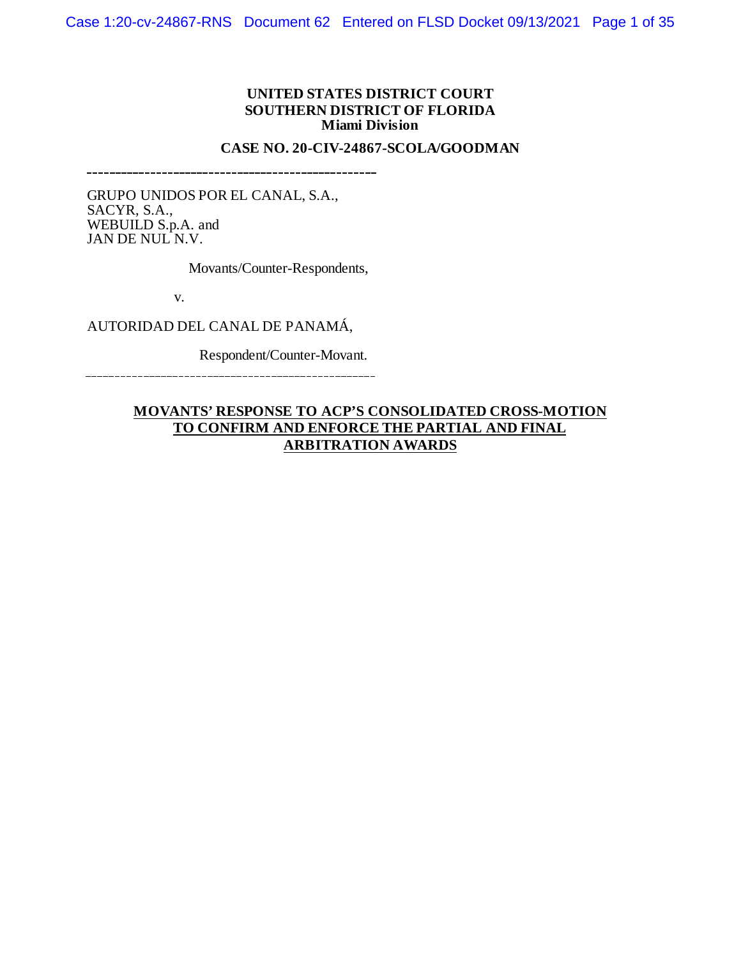#### **UNITED STATES DISTRICT COURT SOUTHERN DISTRICT OF FLORIDA Miami Division**

#### **CASE NO. 20-CIV-24867-SCOLA/GOODMAN**

GRUPO UNIDOS POR EL CANAL, S.A., SACYR, S.A., WEBUILD S.p.A. and JAN DE NUL N.V.

Movants/Counter-Respondents,

v.

AUTORIDAD DEL CANAL DE PANAMÁ,

Respondent/Counter-Movant.

## **MOVANTS' RESPONSE TO ACP'S CONSOLIDATED CROSS-MOTION TO CONFIRM AND ENFORCE THE PARTIAL AND FINAL ARBITRATION AWARDS**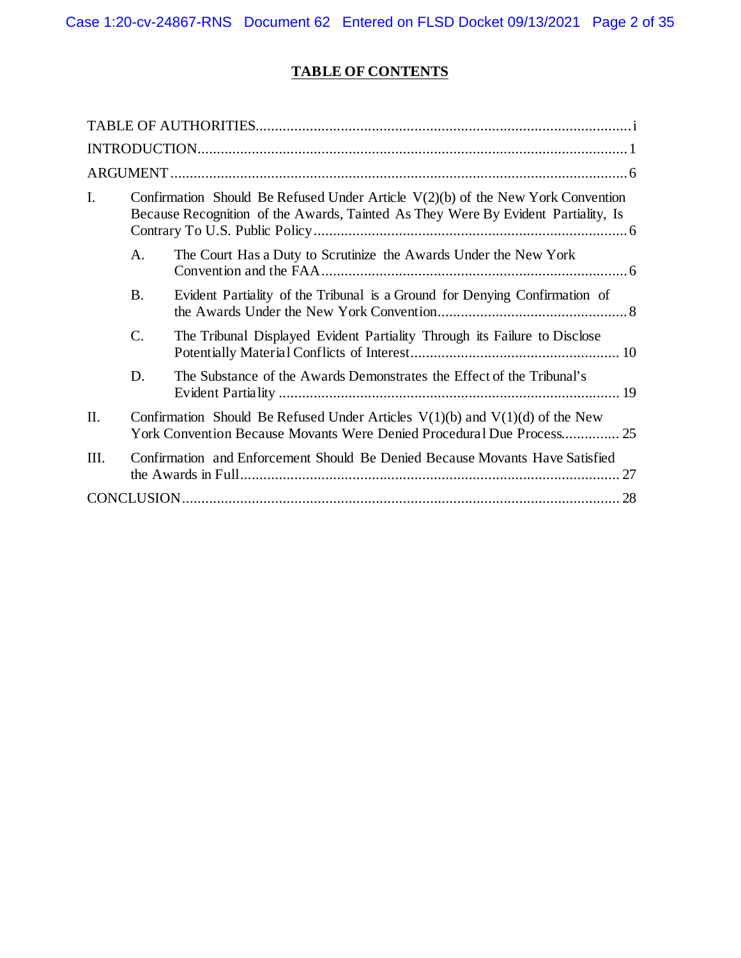# **TABLE OF CONTENTS**

<span id="page-1-0"></span>

| I.  | Confirmation Should Be Refused Under Article $V(2)(b)$ of the New York Convention<br>Because Recognition of the Awards, Tainted As They Were By Evident Partiality, Is |                                                                            |  |  |  |  |  |  |
|-----|------------------------------------------------------------------------------------------------------------------------------------------------------------------------|----------------------------------------------------------------------------|--|--|--|--|--|--|
|     | A.                                                                                                                                                                     | The Court Has a Duty to Scrutinize the Awards Under the New York           |  |  |  |  |  |  |
|     | <b>B.</b>                                                                                                                                                              | Evident Partiality of the Tribunal is a Ground for Denying Confirmation of |  |  |  |  |  |  |
|     | $\mathcal{C}$ .                                                                                                                                                        | The Tribunal Displayed Evident Partiality Through its Failure to Disclose  |  |  |  |  |  |  |
|     | D.                                                                                                                                                                     | The Substance of the Awards Demonstrates the Effect of the Tribunal's      |  |  |  |  |  |  |
| II. | Confirmation Should Be Refused Under Articles $V(1)(b)$ and $V(1)(d)$ of the New<br>York Convention Because Movants Were Denied Procedural Due Process 25              |                                                                            |  |  |  |  |  |  |
| HI. | Confirmation and Enforcement Should Be Denied Because Movants Have Satisfied                                                                                           |                                                                            |  |  |  |  |  |  |
|     |                                                                                                                                                                        |                                                                            |  |  |  |  |  |  |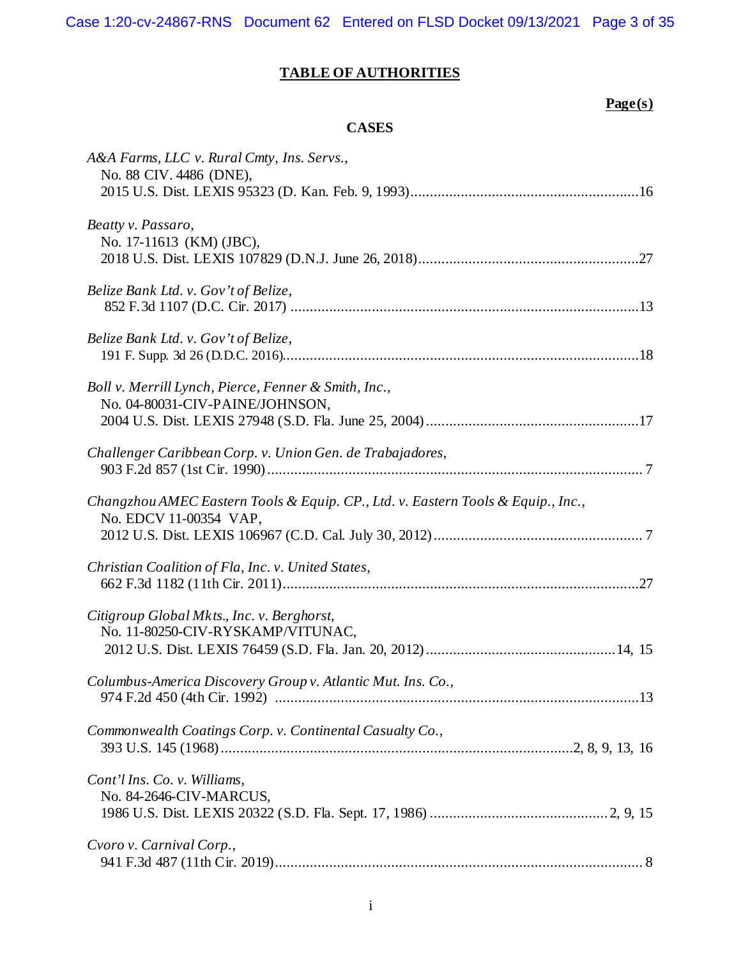Case 1:20-cv-24867-RNS Document 62 Entered on FLSD Docket 09/13/2021 Page 3 of 35

## **TABLE OF AUTHORITIES**

# **Page(s)**

## **CASES**

| A&A Farms, LLC v. Rural Cmty, Ins. Servs.,<br>No. 88 CIV. 4486 (DNE),                                      |
|------------------------------------------------------------------------------------------------------------|
| Beatty v. Passaro,<br>No. 17-11613 (KM) (JBC),                                                             |
| Belize Bank Ltd. v. Gov't of Belize,                                                                       |
| Belize Bank Ltd. v. Gov't of Belize,                                                                       |
| Boll v. Merrill Lynch, Pierce, Fenner & Smith, Inc.,<br>No. 04-80031-CIV-PAINE/JOHNSON,                    |
| Challenger Caribbean Corp. v. Union Gen. de Trabajadores,                                                  |
| Changzhou AMEC Eastern Tools & Equip. CP., Ltd. v. Eastern Tools & Equip., Inc.,<br>No. EDCV 11-00354 VAP, |
| Christian Coalition of Fla, Inc. v. United States,                                                         |
| Citigroup Global Mkts., Inc. v. Berghorst,<br>No. 11-80250-CIV-RYSKAMP/VITUNAC,                            |
| Columbus-America Discovery Group v. Atlantic Mut. Ins. Co.,                                                |
| Commonwealth Coatings Corp. v. Continental Casualty Co.,                                                   |
| Cont'l Ins. Co. v. Williams,<br>No. 84-2646-CIV-MARCUS,                                                    |
| Cvoro v. Carnival Corp.,                                                                                   |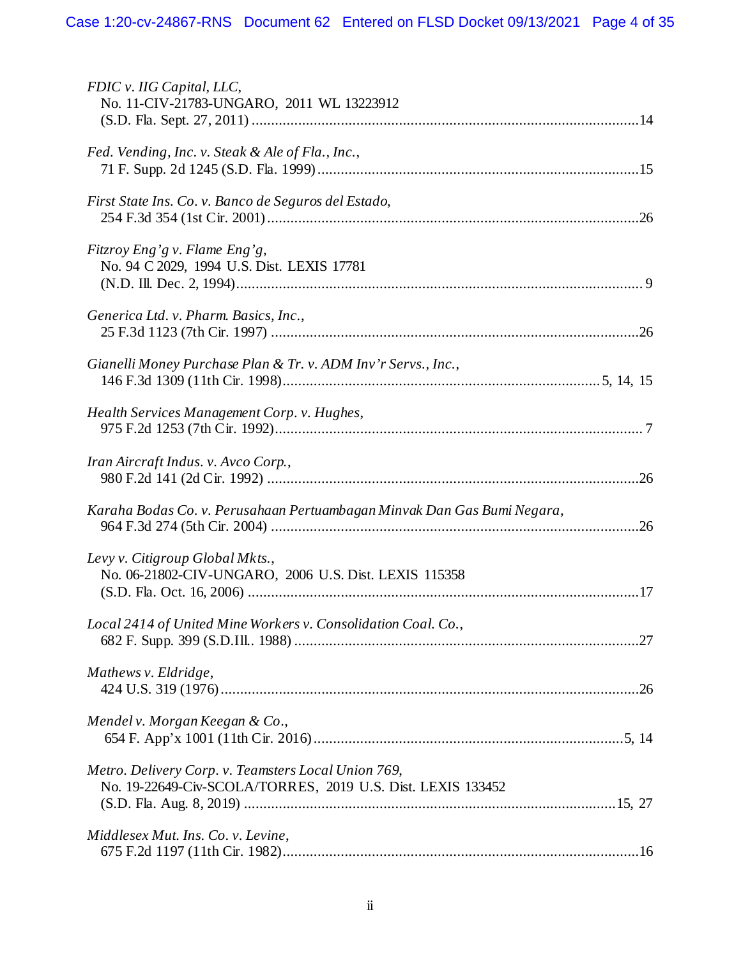| FDIC v. IIG Capital, LLC,<br>No. 11-CIV-21783-UNGARO, 2011 WL 13223912                                             |
|--------------------------------------------------------------------------------------------------------------------|
| Fed. Vending, Inc. v. Steak & Ale of Fla., Inc.,                                                                   |
| First State Ins. Co. v. Banco de Seguros del Estado,                                                               |
| Fitzroy Eng'g v. Flame Eng'g,<br>No. 94 C 2029, 1994 U.S. Dist. LEXIS 17781                                        |
| Generica Ltd. v. Pharm. Basics, Inc.,                                                                              |
| Gianelli Money Purchase Plan & Tr. v. ADM Inv'r Servs., Inc.,                                                      |
| Health Services Management Corp. v. Hughes,                                                                        |
| Iran Aircraft Indus. v. Avco Corp.,                                                                                |
| Karaha Bodas Co. v. Perusahaan Pertuambagan Minvak Dan Gas Bumi Negara,                                            |
| Levy v. Citigroup Global Mkts.,<br>No. 06-21802-CIV-UNGARO, 2006 U.S. Dist. LEXIS 115358                           |
| Local 2414 of United Mine Workers v. Consolidation Coal. Co.,                                                      |
| Mathews v. Eldridge,                                                                                               |
| Mendel v. Morgan Keegan & Co.,                                                                                     |
| Metro. Delivery Corp. v. Teamsters Local Union 769,<br>No. 19-22649-Civ-SCOLA/TORRES, 2019 U.S. Dist. LEXIS 133452 |
| Middlesex Mut. Ins. Co. v. Levine,                                                                                 |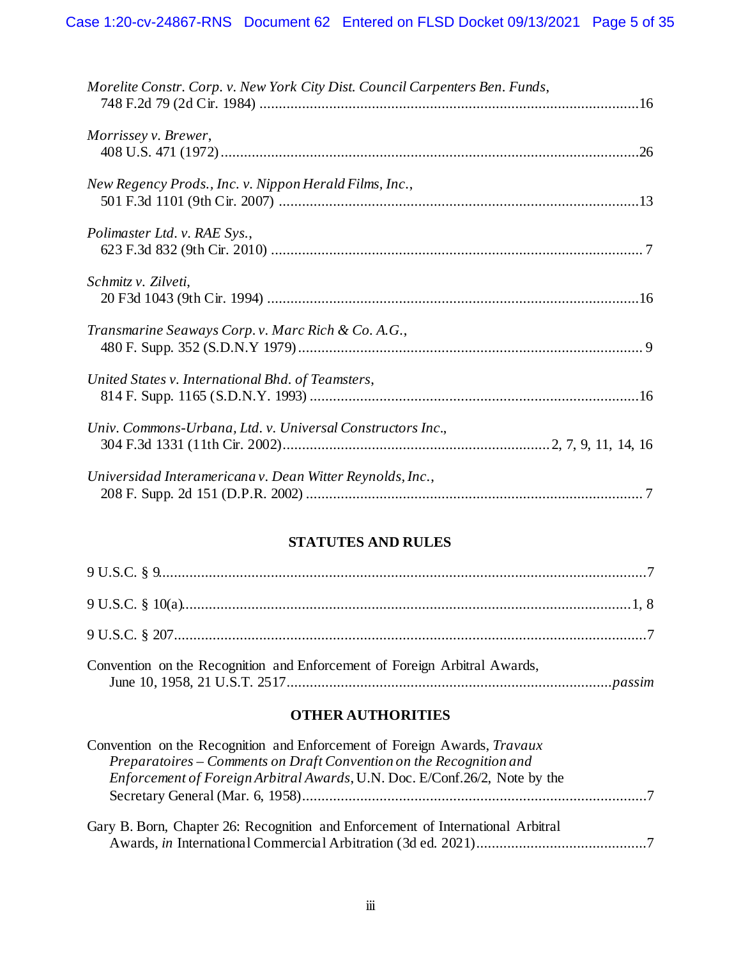| Morelite Constr. Corp. v. New York City Dist. Council Carpenters Ben. Funds, |  |
|------------------------------------------------------------------------------|--|
| Morrissey v. Brewer,                                                         |  |
| New Regency Prods., Inc. v. Nippon Herald Films, Inc.,                       |  |
| Polimaster Ltd. v. RAE Sys.,                                                 |  |
| Schmitz v. Zilveti,                                                          |  |
| Transmarine Seaways Corp. v. Marc Rich & Co. A.G.,                           |  |
| United States v. International Bhd. of Teamsters,                            |  |
| Univ. Commons-Urbana, Ltd. v. Universal Constructors Inc.,                   |  |
| Universidad Interamericana v. Dean Witter Reynolds, Inc.,                    |  |

## **STATUTES AND RULES**

| Convention on the Recognition and Enforcement of Foreign Arbitral Awards, |  |
|---------------------------------------------------------------------------|--|

## **OTHER AUTHORITIES**

| Convention on the Recognition and Enforcement of Foreign Awards, Travaux          |  |
|-----------------------------------------------------------------------------------|--|
| Preparatoires – Comments on Draft Convention on the Recognition and               |  |
| <i>Enforcement of Foreign Arbitral Awards, U.N. Doc. E/Conf.26/2, Note by the</i> |  |
|                                                                                   |  |
|                                                                                   |  |
| Gary B. Born, Chapter 26: Recognition and Enforcement of International Arbitral   |  |
|                                                                                   |  |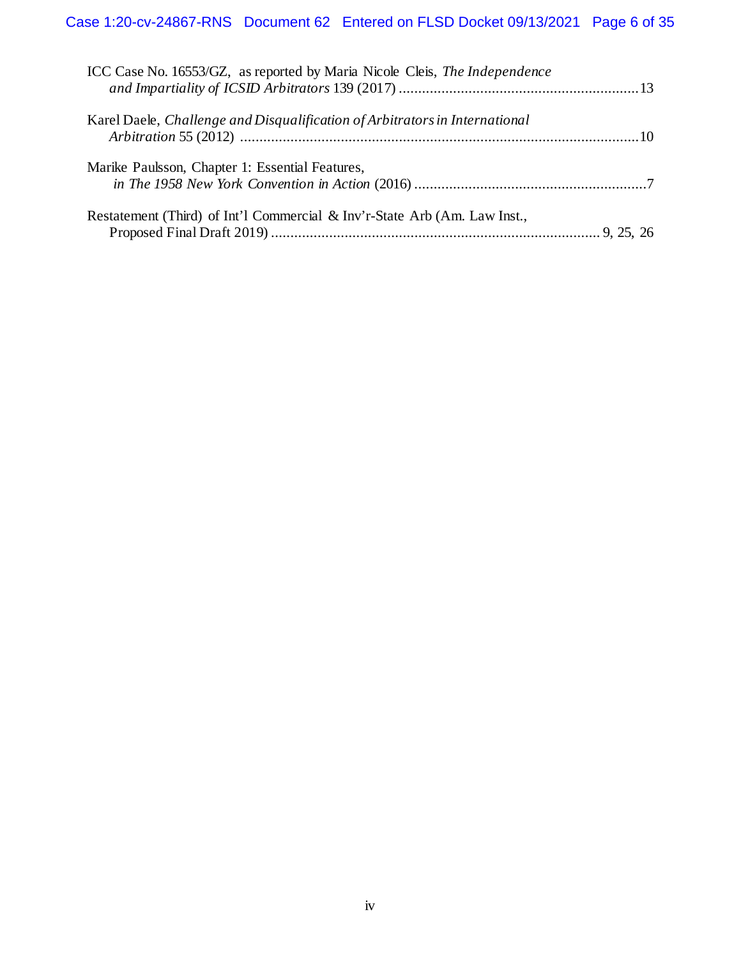| ICC Case No. 16553/GZ, as reported by Maria Nicole Cleis, The Independence  |  |
|-----------------------------------------------------------------------------|--|
| Karel Daele, Challenge and Disqualification of Arbitrators in International |  |
| Marike Paulsson, Chapter 1: Essential Features,                             |  |
| Restatement (Third) of Int'l Commercial & Inv'r-State Arb (Am. Law Inst.,   |  |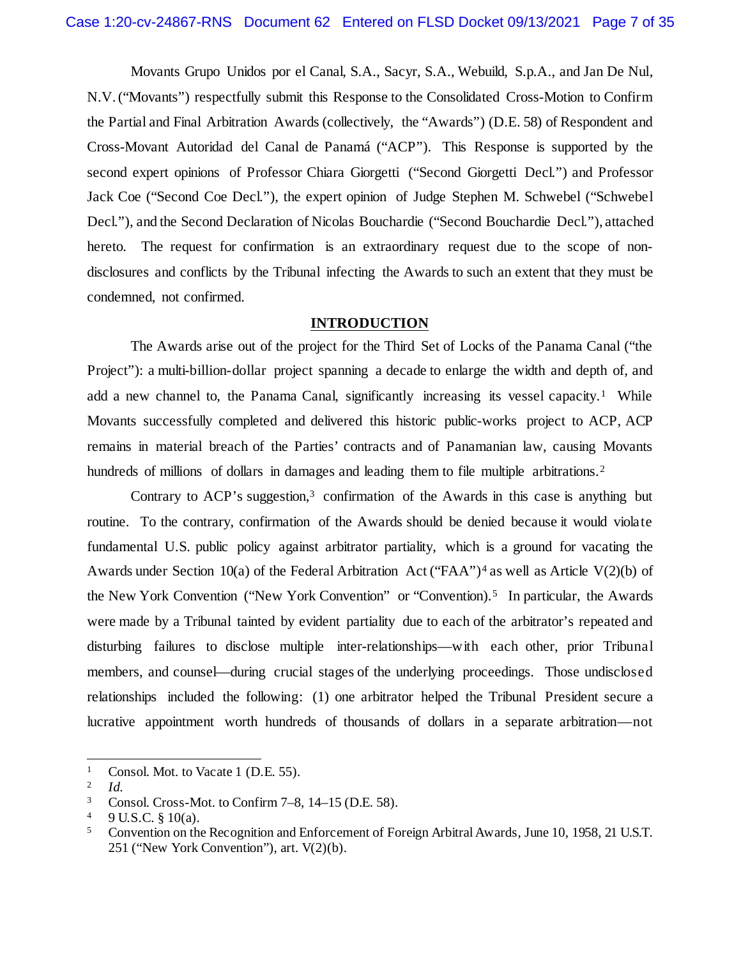Movants Grupo Unidos por el Canal, S.A., Sacyr, S.A., Webuild, S.p.A., and Jan De Nul, N.V. ("Movants") respectfully submit this Response to the Consolidated Cross-Motion to Confirm the Partial and Final Arbitration Awards (collectively, the "Awards") (D.E. 58) of Respondent and Cross-Movant Autoridad del Canal de Panamá ("ACP"). This Response is supported by the second expert opinions of Professor Chiara Giorgetti ("Second Giorgetti Decl.") and Professor Jack Coe ("Second Coe Decl."), the expert opinion of Judge Stephen M. Schwebel ("Schwebel Decl."), and the Second Declaration of Nicolas Bouchardie ("Second Bouchardie Decl."), attached hereto. The request for confirmation is an extraordinary request due to the scope of nondisclosures and conflicts by the Tribunal infecting the Awards to such an extent that they must be condemned, not confirmed.

#### **INTRODUCTION**

<span id="page-6-0"></span>The Awards arise out of the project for the Third Set of Locks of the Panama Canal ("the Project"): a multi-billion-dollar project spanning a decade to enlarge the width and depth of, and add a new channel to, the Panama Canal, significantly increasing its vessel capacity.[1](#page-6-1) While Movants successfully completed and delivered this historic public-works project to ACP, ACP remains in material breach of the Parties' contracts and of Panamanian law, causing Movants hundreds of millions of dollars in damages and leading them to file multiple arbitrations.<sup>[2](#page-6-2)</sup>

Contrary to  $ACP$ 's suggestion,<sup>[3](#page-6-3)</sup> confirmation of the Awards in this case is anything but routine. To the contrary, confirmation of the Awards should be denied because it would violate fundamental U.S. public policy against arbitrator partiality, which is a ground for vacating the Awards under Section 10(a) of the Federal Arbitration Act ("FAA")<sup>[4](#page-6-4)</sup> as well as Article V(2)(b) of the New York Convention ("New York Convention" or "Convention).<sup>[5](#page-6-5)</sup> In particular, the Awards were made by a Tribunal tainted by evident partiality due to each of the arbitrator's repeated and disturbing failures to disclose multiple inter-relationships—with each other, prior Tribunal members, and counsel—during crucial stages of the underlying proceedings. Those undisclosed relationships included the following: (1) one arbitrator helped the Tribunal President secure a lucrative appointment worth hundreds of thousands of dollars in a separate arbitration—not

<span id="page-6-1"></span><sup>&</sup>lt;sup>1</sup> Consol. Mot. to Vacate 1 (D.E. 55).

<span id="page-6-2"></span><sup>2</sup> *Id.*

<span id="page-6-3"></span><sup>3</sup> Consol. Cross-Mot. to Confirm 7–8, 14–15 (D.E. 58).

<span id="page-6-5"></span><span id="page-6-4"></span> $\frac{4}{5}$  9 U.S.C. § 10(a).

<sup>5</sup> Convention on the Recognition and Enforcement of Foreign Arbitral Awards, June 10, 1958, 21 U.S.T. 251 ("New York Convention"), art. V(2)(b).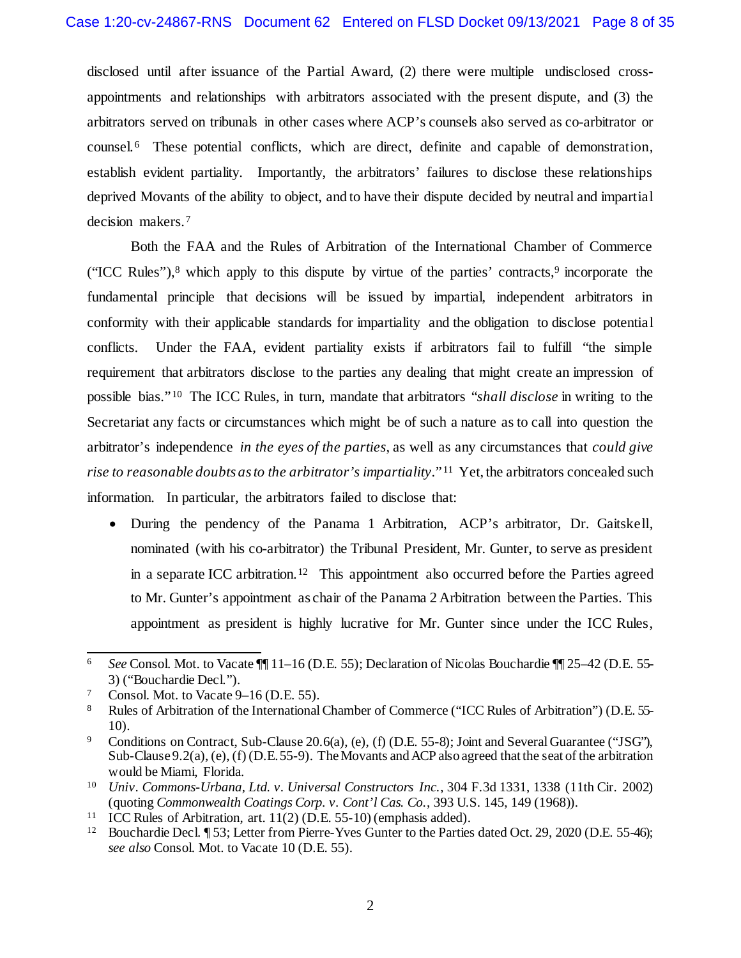disclosed until after issuance of the Partial Award, (2) there were multiple undisclosed crossappointments and relationships with arbitrators associated with the present dispute, and (3) the arbitrators served on tribunals in other cases where ACP's counsels also served as co-arbitrator or counsel.[6](#page-7-0) These potential conflicts, which are direct, definite and capable of demonstration, establish evident partiality. Importantly, the arbitrators' failures to disclose these relationships deprived Movants of the ability to object, and to have their dispute decided by neutral and impartial decision makers.[7](#page-7-1) 

Both the FAA and the Rules of Arbitration of the International Chamber of Commerce ("ICC Rules"), $8$  which apply to this dispute by virtue of the parties' contracts, $9$  incorporate the fundamental principle that decisions will be issued by impartial, independent arbitrators in conformity with their applicable standards for impartiality and the obligation to disclose potential conflicts. Under the FAA, evident partiality exists if arbitrators fail to fulfill "the simple requirement that arbitrators disclose to the parties any dealing that might create an impression of possible bias." [10](#page-7-4) The ICC Rules, in turn, mandate that arbitrators "*shall disclose* in writing to the Secretariat any facts or circumstances which might be of such a nature as to call into question the arbitrator's independence *in the eyes of the parties*, as well as any circumstances that *could give rise to reasonable doubts as to the arbitrator's impartiality*." [11](#page-7-5) Yet, the arbitrators concealed such information. In particular, the arbitrators failed to disclose that:

• During the pendency of the Panama 1 Arbitration, ACP's arbitrator, Dr. Gaitskell, nominated (with his co-arbitrator) the Tribunal President, Mr. Gunter, to serve as president in a separate ICC arbitration.<sup>[12](#page-7-6)</sup> This appointment also occurred before the Parties agreed to Mr. Gunter's appointment as chair of the Panama 2 Arbitration between the Parties. This appointment as president is highly lucrative for Mr. Gunter since under the ICC Rules,

<span id="page-7-0"></span> <sup>6</sup> *See* Consol. Mot. to Vacate ¶¶ 11–16 (D.E. 55); Declaration of Nicolas Bouchardie ¶¶ 25–42 (D.E. 55- 3) ("Bouchardie Decl.").

<span id="page-7-1"></span><sup>&</sup>lt;sup>7</sup> Consol. Mot. to Vacate  $9-16$  (D.E. 55).

<span id="page-7-2"></span><sup>8</sup> Rules of Arbitration of the International Chamber of Commerce ("ICC Rules of Arbitration") (D.E. 55- 10).

<span id="page-7-3"></span><sup>9</sup> Conditions on Contract, Sub-Clause 20.6(a), (e), (f) (D.E. 55-8); Joint and Several Guarantee ("JSG"), Sub-Clause 9.2(a), (e), (f) (D.E. 55-9). The Movants and ACP also agreed that the seat of the arbitration would be Miami, Florida.

<span id="page-7-4"></span><sup>10</sup> *Univ. Commons-Urbana, Ltd. v. Universal Constructors Inc.*, 304 F.3d 1331, 1338 (11th Cir. 2002) (quoting *Commonwealth Coatings Corp. v. Cont'l Cas. Co.*, 393 U.S. 145, 149 (1968)).

<span id="page-7-5"></span><sup>&</sup>lt;sup>11</sup> ICC Rules of Arbitration, art.  $11(2)$  (D.E. 55-10) (emphasis added).<br><sup>12</sup> Bouchardie Decl  $\P$  53: Letter from Pierre-Yves Gunter to the Parties

<span id="page-7-6"></span><sup>12</sup> Bouchardie Decl. ¶ 53; Letter from Pierre-Yves Gunter to the Parties dated Oct. 29, 2020 (D.E. 55-46); *see also* Consol. Mot. to Vacate 10 (D.E. 55).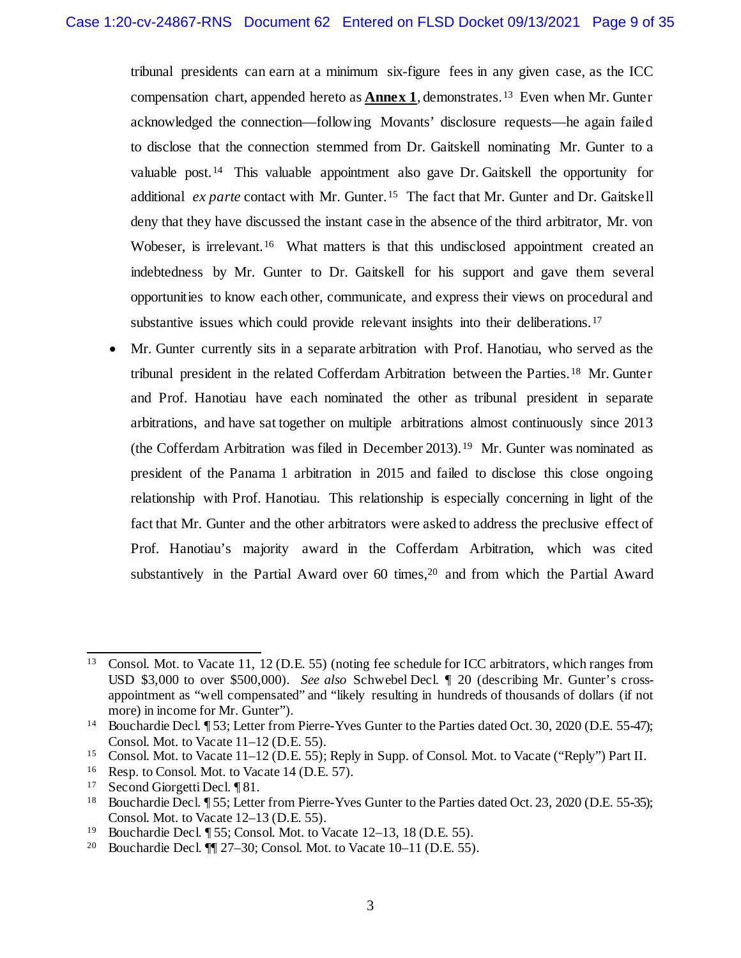tribunal presidents can earn at a minimum six-figure fees in any given case, as the ICC compensation chart, appended hereto as **Annex 1**, demonstrates.[13](#page-8-0) Even when Mr. Gunter acknowledged the connection—following Movants' disclosure requests—he again failed to disclose that the connection stemmed from Dr. Gaitskell nominating Mr. Gunter to a valuable post.<sup>[14](#page-8-1)</sup> This valuable appointment also gave Dr. Gaitskell the opportunity for additional *ex parte* contact with Mr. Gunter.[15](#page-8-2) The fact that Mr. Gunter and Dr. Gaitskell deny that they have discussed the instant case in the absence of the third arbitrator, Mr. von Wobeser, is irrelevant.<sup>[16](#page-8-3)</sup> What matters is that this undisclosed appointment created an indebtedness by Mr. Gunter to Dr. Gaitskell for his support and gave them several opportunities to know each other, communicate, and express their views on procedural and substantive issues which could provide relevant insights into their deliberations.<sup>[17](#page-8-4)</sup>

• Mr. Gunter currently sits in a separate arbitration with Prof. Hanotiau, who served as the tribunal president in the related Cofferdam Arbitration between the Parties.[18](#page-8-5) Mr. Gunter and Prof. Hanotiau have each nominated the other as tribunal president in separate arbitrations, and have sat together on multiple arbitrations almost continuously since 2013 (the Cofferdam Arbitration was filed in December 2013).[19](#page-8-6) Mr. Gunter was nominated as president of the Panama 1 arbitration in 2015 and failed to disclose this close ongoing relationship with Prof. Hanotiau. This relationship is especially concerning in light of the fact that Mr. Gunter and the other arbitrators were asked to address the preclusive effect of Prof. Hanotiau's majority award in the Cofferdam Arbitration, which was cited substantively in the Partial Award over  $60$  times,<sup>[20](#page-8-7)</sup> and from which the Partial Award

<span id="page-8-0"></span><sup>&</sup>lt;sup>13</sup> Consol. Mot. to Vacate 11, 12 (D.E. 55) (noting fee schedule for ICC arbitrators, which ranges from USD \$3,000 to over \$500,000). *See also* Schwebel Decl. ¶ 20 (describing Mr. Gunter's crossappointment as "well compensated" and "likely resulting in hundreds of thousands of dollars (if not more) in income for Mr. Gunter").

<span id="page-8-1"></span><sup>&</sup>lt;sup>14</sup> Bouchardie Decl. ¶ 53; Letter from Pierre-Yves Gunter to the Parties dated Oct. 30, 2020 (D.E. 55-47); Consol. Mot. to Vacate 11–12 (D.E. 55).

<span id="page-8-2"></span><sup>15</sup> Consol. Mot. to Vacate 11–12 (D.E. 55); Reply in Supp. of Consol. Mot. to Vacate ("Reply") Part II.

<span id="page-8-3"></span><sup>16</sup> Resp. to Consol. Mot. to Vacate 14 (D.E. 57).

<span id="page-8-4"></span><sup>17</sup> Second Giorgetti Decl. ¶ 81.

<span id="page-8-5"></span><sup>&</sup>lt;sup>18</sup> Bouchardie Decl. ¶ 55; Letter from Pierre-Yves Gunter to the Parties dated Oct. 23, 2020 (D.E. 55-35); Consol. Mot. to Vacate 12–13 (D.E. 55).

<span id="page-8-7"></span><span id="page-8-6"></span><sup>&</sup>lt;sup>19</sup> Bouchardie Decl.  $\sqrt{55}$ ; Consol. Mot. to Vacate 12–13, 18 (D.E. 55).<br><sup>20</sup> Bouchardie Decl.  $\sqrt{9}$  77–30; Consol. Mot. to Vacate 10–11 (D.E. 55).

Bouchardie Decl.  $\P$  27–30; Consol. Mot. to Vacate 10–11 (D.E. 55).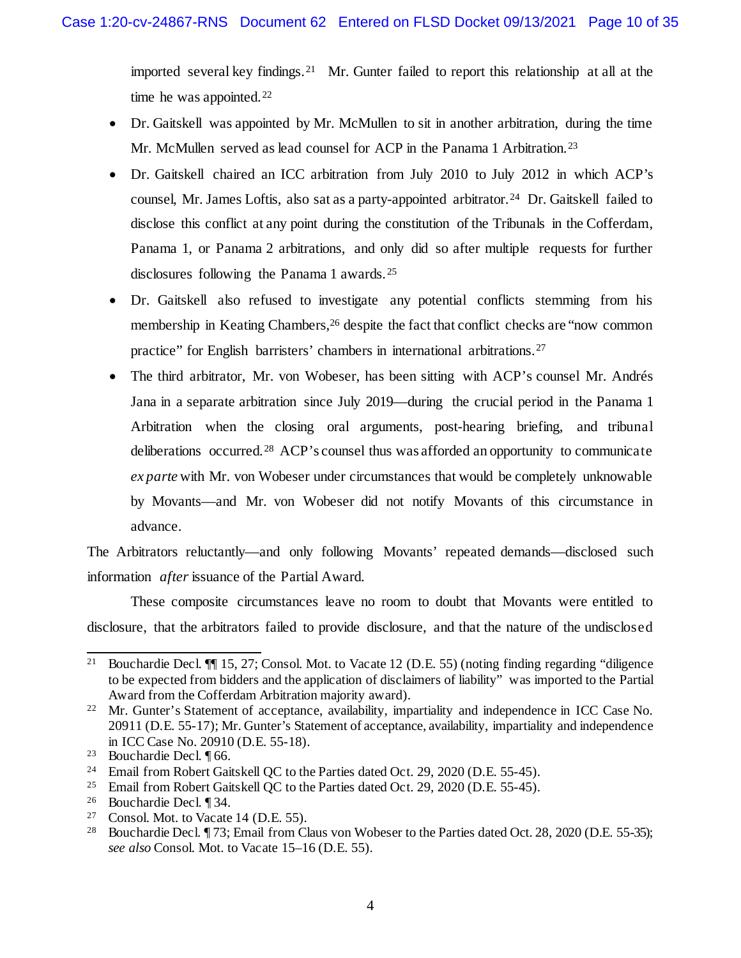imported several key findings.[21](#page-9-0) Mr. Gunter failed to report this relationship at all at the time he was appointed. $22$ 

- Dr. Gaitskell was appointed by Mr. McMullen to sit in another arbitration, during the time Mr. McMullen served as lead counsel for ACP in the Panama 1 Arbitration.<sup>[23](#page-9-2)</sup>
- Dr. Gaitskell chaired an ICC arbitration from July 2010 to July 2012 in which ACP's counsel, Mr. James Loftis, also sat as a party-appointed arbitrator.<sup>24</sup> Dr. Gaitskell failed to disclose this conflict at any point during the constitution of the Tribunals in the Cofferdam, Panama 1, or Panama 2 arbitrations, and only did so after multiple requests for further disclosures following the Panama 1 awards. [25](#page-9-4)
- Dr. Gaitskell also refused to investigate any potential conflicts stemming from his membership in Keating Chambers,<sup>[26](#page-9-5)</sup> despite the fact that conflict checks are "now common practice" for English barristers' chambers in international arbitrations.[27](#page-9-6)
- The third arbitrator, Mr. von Wobeser, has been sitting with ACP's counsel Mr. Andrés Jana in a separate arbitration since July 2019—during the crucial period in the Panama 1 Arbitration when the closing oral arguments, post-hearing briefing, and tribunal deliberations occurred.<sup>[28](#page-9-7)</sup> ACP's counsel thus was afforded an opportunity to communicate *ex parte* with Mr. von Wobeser under circumstances that would be completely unknowable by Movants—and Mr. von Wobeser did not notify Movants of this circumstance in advance.

The Arbitrators reluctantly—and only following Movants' repeated demands—disclosed such information *after* issuance of the Partial Award.

These composite circumstances leave no room to doubt that Movants were entitled to disclosure, that the arbitrators failed to provide disclosure, and that the nature of the undisclosed

<span id="page-9-0"></span> <sup>21</sup> Bouchardie Decl. ¶¶ 15, 27; Consol. Mot. to Vacate 12 (D.E. 55) (noting finding regarding "diligence to be expected from bidders and the application of disclaimers of liability" was imported to the Partial Award from the Cofferdam Arbitration majority award).

<span id="page-9-1"></span><sup>&</sup>lt;sup>22</sup> Mr. Gunter's Statement of acceptance, availability, impartiality and independence in ICC Case No. 20911 (D.E. 55-17); Mr. Gunter's Statement of acceptance, availability, impartiality and independence in ICC Case No. 20910 (D.E. 55-18).

<span id="page-9-2"></span><sup>23</sup> Bouchardie Decl. ¶ 66.

<span id="page-9-3"></span><sup>&</sup>lt;sup>24</sup> Email from Robert Gaitskell QC to the Parties dated Oct. 29, 2020 (D.E. 55-45).

<span id="page-9-4"></span><sup>25</sup> Email from Robert Gaitskell QC to the Parties dated Oct. 29, 2020 (D.E. 55-45).

<span id="page-9-5"></span><sup>&</sup>lt;sup>26</sup> Bouchardie Decl.  $$34$ .<br><sup>27</sup> Consol Mot to Vacate

<span id="page-9-7"></span><span id="page-9-6"></span><sup>&</sup>lt;sup>27</sup> Consol. Mot. to Vacate 14 (D.E. 55).<br><sup>28</sup> Bouchardie Decl  $\P$  73: Email from Cl

<sup>28</sup> Bouchardie Decl. ¶ 73; Email from Claus von Wobeser to the Parties dated Oct. 28, 2020 (D.E. 55-35); *see also* Consol. Mot. to Vacate 15–16 (D.E. 55).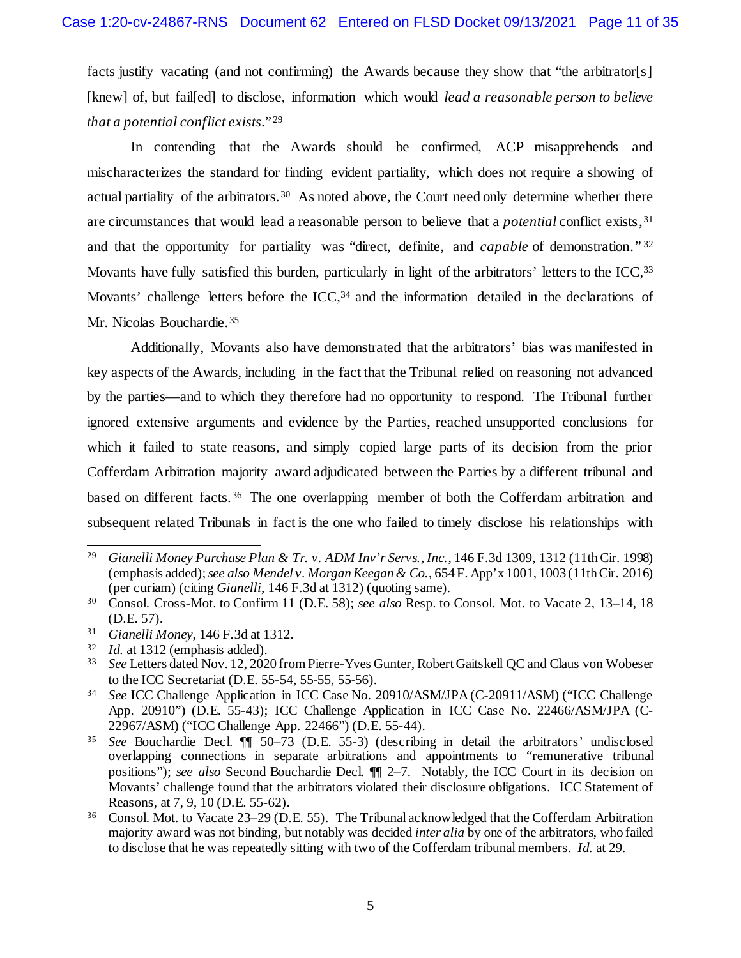facts justify vacating (and not confirming) the Awards because they show that "the arbitrator[s] [knew] of, but fail[ed] to disclose, information which would *lead a reasonable person to believe that a potential conflict exists*." [29](#page-10-0) 

In contending that the Awards should be confirmed, ACP misapprehends and mischaracterizes the standard for finding evident partiality, which does not require a showing of actual partiality of the arbitrators.<sup>[30](#page-10-1)</sup> As noted above, the Court need only determine whether there are circumstances that would lead a reasonable person to believe that a *potential* conflict exists,[31](#page-10-2) and that the opportunity for partiality was "direct, definite, and *capable* of demonstration." [32](#page-10-3) Movants have fully satisfied this burden, particularly in light of the arbitrators' letters to the ICC, [33](#page-10-4) Movants' challenge letters before the ICC,<sup>[34](#page-10-5)</sup> and the information detailed in the declarations of Mr. Nicolas Bouchardie.<sup>35</sup>

Additionally, Movants also have demonstrated that the arbitrators' bias was manifested in key aspects of the Awards, including in the fact that the Tribunal relied on reasoning not advanced by the parties—and to which they therefore had no opportunity to respond. The Tribunal further ignored extensive arguments and evidence by the Parties, reached unsupported conclusions for which it failed to state reasons, and simply copied large parts of its decision from the prior Cofferdam Arbitration majority award adjudicated between the Parties by a different tribunal and based on different facts.[36](#page-10-7) The one overlapping member of both the Cofferdam arbitration and subsequent related Tribunals in fact is the one who failed to timely disclose his relationships with

<span id="page-10-0"></span> <sup>29</sup> *Gianelli Money Purchase Plan & Tr. v. ADM Inv'r Servs., Inc.*, 146 F.3d 1309, 1312 (11th Cir. 1998) (emphasis added); *see also Mendel v. Morgan Keegan & Co.*, 654 F. App'x 1001, 1003 (11th Cir. 2016) (per curiam) (citing *Gianelli*, 146 F.3d at 1312) (quoting same).

<span id="page-10-1"></span><sup>30</sup> Consol. Cross-Mot. to Confirm 11 (D.E. 58); *see also* Resp. to Consol. Mot. to Vacate 2, 13–14, 18 (D.E. 57).

<span id="page-10-2"></span><sup>31</sup> *Gianelli Money*, 146 F.3d at 1312.

<span id="page-10-3"></span> $^{32}$  *Id.* at 1312 (emphasis added).<br> $^{33}$  See I etters dated Nov 12 202

<span id="page-10-4"></span><sup>33</sup> *See* Letters dated Nov. 12, 2020 from Pierre-Yves Gunter, Robert Gaitskell QC and Claus von Wobeser to the ICC Secretariat (D.E. 55-54, 55-55, 55-56).

<span id="page-10-5"></span><sup>34</sup> *See* ICC Challenge Application in ICC Case No. 20910/ASM/JPA (C-20911/ASM) ("ICC Challenge App. 20910") (D.E. 55-43); ICC Challenge Application in ICC Case No. 22466/ASM/JPA (C-22967/ASM) ("ICC Challenge App. 22466") (D.E. 55-44).

<span id="page-10-6"></span><sup>35</sup> *See* Bouchardie Decl. ¶¶ 50–73 (D.E. 55-3) (describing in detail the arbitrators' undisclosed overlapping connections in separate arbitrations and appointments to "remunerative tribunal positions"); *see also* Second Bouchardie Decl. ¶¶ 2–7. Notably, the ICC Court in its decision on Movants' challenge found that the arbitrators violated their disclosure obligations. ICC Statement of Reasons, at 7, 9, 10 (D.E. 55-62).

<span id="page-10-7"></span><sup>36</sup> Consol. Mot. to Vacate 23–29 (D.E. 55). The Tribunal acknowledged that the Cofferdam Arbitration majority award was not binding, but notably was decided *inter alia* by one of the arbitrators, who failed to disclose that he was repeatedly sitting with two of the Cofferdam tribunal members. *Id.* at 29.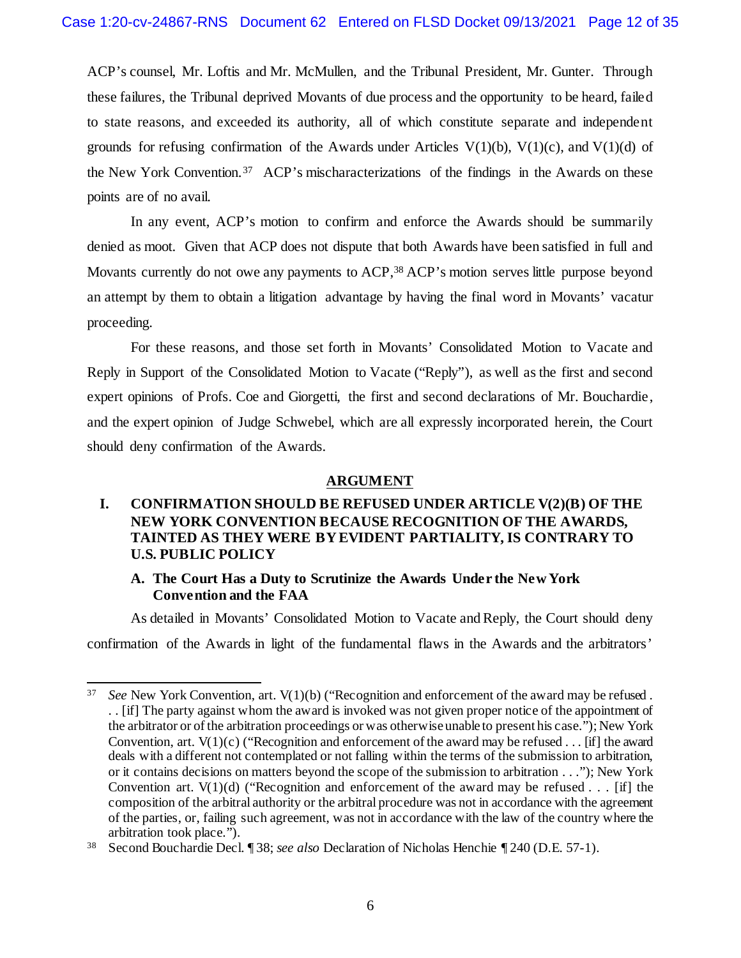ACP's counsel, Mr. Loftis and Mr. McMullen, and the Tribunal President, Mr. Gunter. Through these failures, the Tribunal deprived Movants of due process and the opportunity to be heard, failed to state reasons, and exceeded its authority, all of which constitute separate and independent grounds for refusing confirmation of the Awards under Articles  $V(1)(b)$ ,  $V(1)(c)$ , and  $V(1)(d)$  of the New York Convention.[37](#page-11-3) ACP's mischaracterizations of the findings in the Awards on these points are of no avail.

In any event, ACP's motion to confirm and enforce the Awards should be summarily denied as moot. Given that ACP does not dispute that both Awards have been satisfied in full and Movants currently do not owe any payments to ACP,<sup>[38](#page-11-4)</sup> ACP's motion serves little purpose beyond an attempt by them to obtain a litigation advantage by having the final word in Movants' vacatur proceeding.

For these reasons, and those set forth in Movants' Consolidated Motion to Vacate and Reply in Support of the Consolidated Motion to Vacate ("Reply"), as well as the first and second expert opinions of Profs. Coe and Giorgetti, the first and second declarations of Mr. Bouchardie, and the expert opinion of Judge Schwebel, which are all expressly incorporated herein, the Court should deny confirmation of the Awards.

## **ARGUMENT**

## <span id="page-11-1"></span><span id="page-11-0"></span>**I. CONFIRMATION SHOULD BE REFUSED UNDER ARTICLE V(2)(B) OF THE NEW YORK CONVENTION BECAUSE RECOGNITION OF THE AWARDS, TAINTED AS THEY WERE BY EVIDENT PARTIALITY, IS CONTRARY TO U.S. PUBLIC POLICY**

## **A. The Court Has a Duty to Scrutinize the Awards Under the New York Convention and the FAA**

<span id="page-11-2"></span>As detailed in Movants' Consolidated Motion to Vacate and Reply, the Court should deny confirmation of the Awards in light of the fundamental flaws in the Awards and the arbitrators'

<span id="page-11-3"></span> <sup>37</sup> *See* New York Convention, art. V(1)(b) ("Recognition and enforcement of the award may be refused . . . [if] The party against whom the award is invoked was not given proper notice of the appointment of the arbitrator or of the arbitration proceedings or was otherwise unable to present his case."); New York Convention, art.  $V(1)(c)$  ("Recognition and enforcement of the award may be refused . . . [if] the award deals with a different not contemplated or not falling within the terms of the submission to arbitration, or it contains decisions on matters beyond the scope of the submission to arbitration . . ."); New York Convention art.  $V(1)(d)$  ("Recognition and enforcement of the award may be refused . . . [if] the composition of the arbitral authority or the arbitral procedure was not in accordance with the agreement of the parties, or, failing such agreement, was not in accordance with the law of the country where the arbitration took place.").

<span id="page-11-4"></span><sup>38</sup> Second Bouchardie Decl. ¶ 38; *see also* Declaration of Nicholas Henchie ¶ 240 (D.E. 57-1).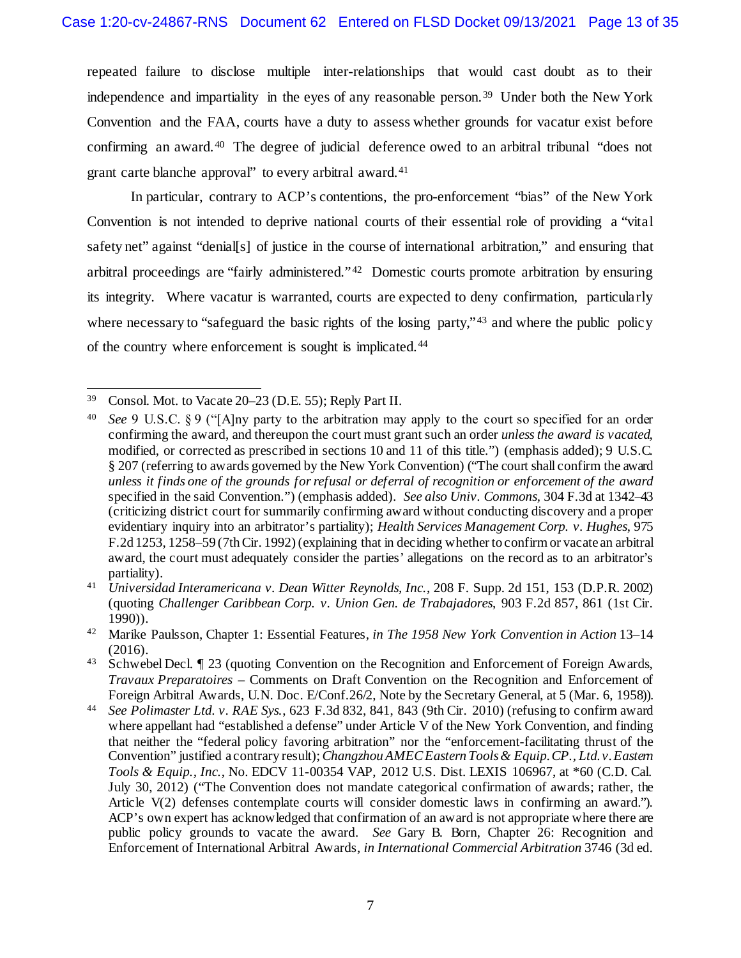repeated failure to disclose multiple inter-relationships that would cast doubt as to their independence and impartiality in the eyes of any reasonable person.<sup>[39](#page-12-0)</sup> Under both the New York Convention and the FAA, courts have a duty to assess whether grounds for vacatur exist before confirming an award.<sup>40</sup> The degree of judicial deference owed to an arbitral tribunal "does not grant carte blanche approval" to every arbitral award.[41](#page-12-2) 

In particular, contrary to ACP's contentions, the pro-enforcement "bias" of the New York Convention is not intended to deprive national courts of their essential role of providing a "vital safety net" against "denial[s] of justice in the course of international arbitration," and ensuring that arbitral proceedings are "fairly administered." [42](#page-12-3) Domestic courts promote arbitration by ensuring its integrity. Where vacatur is warranted, courts are expected to deny confirmation, particularly where necessary to "safeguard the basic rights of the losing party,"<sup>[43](#page-12-4)</sup> and where the public policy of the country where enforcement is sought is implicated.[44](#page-12-5)

<span id="page-12-0"></span> <sup>39</sup> Consol. Mot. to Vacate 20–23 (D.E. 55); Reply Part II.

<span id="page-12-1"></span><sup>40</sup> *See* 9 U.S.C. § 9 ("[A]ny party to the arbitration may apply to the court so specified for an order confirming the award, and thereupon the court must grant such an order *unless the award is vacated*, modified, or corrected as prescribed in sections 10 and 11 of this title.") (emphasis added); 9 U.S.C. § 207 (referring to awards governed by the New York Convention) ("The court shall confirm the award *unless it finds one of the grounds for refusal or deferral of recognition or enforcement of the award* specified in the said Convention.") (emphasis added). *See also Univ. Commons,* 304 F.3d at 1342–43 (criticizing district court for summarily confirming award without conducting discovery and a proper evidentiary inquiry into an arbitrator's partiality); *Health Services Management Corp. v. Hughes*, 975 F.2d 1253, 1258–59 (7th Cir. 1992)(explaining that in deciding whether to confirm or vacate an arbitral award, the court must adequately consider the parties' allegations on the record as to an arbitrator's partiality).

<span id="page-12-2"></span><sup>41</sup> *Universidad Interamericana v. Dean Witter Reynolds, Inc.*, 208 F. Supp. 2d 151, 153 (D.P.R. 2002) (quoting *Challenger Caribbean Corp. v. Union Gen. de Trabajadores*, 903 F.2d 857, 861 (1st Cir. 1990)).

<span id="page-12-3"></span><sup>42</sup> Marike Paulsson, Chapter 1: Essential Features, *in The 1958 New York Convention in Action* 13–14 (2016).

<span id="page-12-4"></span><sup>43</sup> Schwebel Decl. ¶ 23 (quoting Convention on the Recognition and Enforcement of Foreign Awards, *Travaux Preparatoires –* Comments on Draft Convention on the Recognition and Enforcement of Foreign Arbitral Awards, U.N. Doc. E/Conf.26/2, Note by the Secretary General, at 5 (Mar. 6, 1958)).

<span id="page-12-5"></span><sup>44</sup> *See Polimaster Ltd. v. RAE Sys.*, 623 F.3d 832, 841, 843 (9th Cir. 2010) (refusing to confirm award where appellant had "established a defense" under Article V of the New York Convention, and finding that neither the "federal policy favoring arbitration" nor the "enforcement-facilitating thrust of the Convention" justified a contrary result); *Changzhou AMEC Eastern Tools & Equip. CP., Ltd. v. Eastern Tools & Equip., Inc.*, No. EDCV 11-00354 VAP, 2012 U.S. Dist. LEXIS 106967, at \*60 (C.D. Cal. July 30, 2012) ("The Convention does not mandate categorical confirmation of awards; rather, the Article V(2) defenses contemplate courts will consider domestic laws in confirming an award."). ACP's own expert has acknowledged that confirmation of an award is not appropriate where there are public policy grounds to vacate the award. *See* Gary B. Born, Chapter 26: Recognition and Enforcement of International Arbitral Awards, *in International Commercial Arbitration* 3746 (3d ed.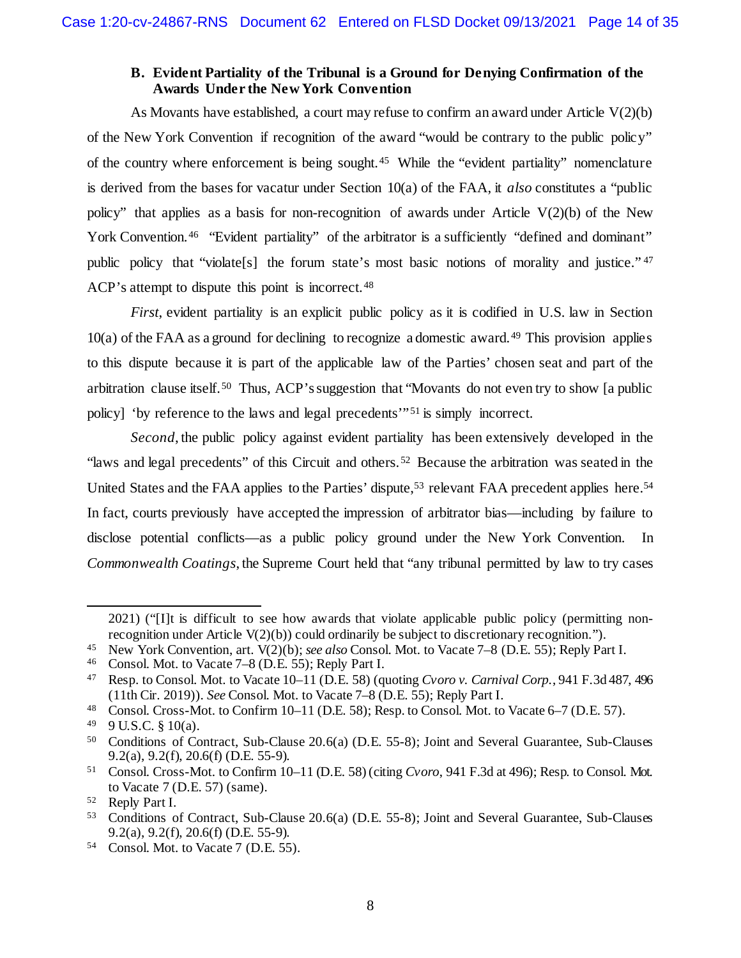#### **B. Evident Partiality of the Tribunal is a Ground for Denying Confirmation of the Awards Under the New York Convention**

<span id="page-13-0"></span>As Movants have established, a court may refuse to confirm an award under Article  $V(2)(b)$ of the New York Convention if recognition of the award "would be contrary to the public policy" of the country where enforcement is being sought.[45](#page-13-1) While the "evident partiality" nomenclature is derived from the bases for vacatur under Section 10(a) of the FAA, it *also* constitutes a "public policy" that applies as a basis for non-recognition of awards under Article V(2)(b) of the New York Convention.<sup>[46](#page-13-2)</sup> "Evident partiality" of the arbitrator is a sufficiently "defined and dominant" public policy that "violate<sup>[s]</sup> the forum state's most basic notions of morality and justice."<sup>[47](#page-13-3)</sup> ACP's attempt to dispute this point is incorrect.<sup>48</sup>

*First*, evident partiality is an explicit public policy as it is codified in U.S. law in Section 10(a) of the FAA as a ground for declining to recognize a domestic award.[49](#page-13-5) This provision applies to this dispute because it is part of the applicable law of the Parties' chosen seat and part of the arbitration clause itself.[50](#page-13-6) Thus, ACP's suggestion that "Movants do not even try to show [a public policy] 'by reference to the laws and legal precedents'" [51](#page-13-7) is simply incorrect.

*Second*, the public policy against evident partiality has been extensively developed in the "laws and legal precedents" of this Circuit and others.[52](#page-13-8) Because the arbitration was seated in the United States and the FAA applies to the Parties' dispute,<sup>53</sup> relevant FAA precedent applies here.<sup>[54](#page-13-10)</sup> In fact, courts previously have accepted the impression of arbitrator bias—including by failure to disclose potential conflicts—as a public policy ground under the New York Convention. In *Commonwealth Coatings*, the Supreme Court held that "any tribunal permitted by law to try cases

 $\overline{a}$ 

<sup>2021) (&</sup>quot;[I]t is difficult to see how awards that violate applicable public policy (permitting nonrecognition under Article V(2)(b)) could ordinarily be subject to discretionary recognition.").

<span id="page-13-1"></span><sup>45</sup> New York Convention, art. V(2)(b); *see also* Consol. Mot. to Vacate 7–8 (D.E. 55); Reply Part I.

<span id="page-13-2"></span><sup>46</sup> Consol. Mot. to Vacate 7–8 (D.E. 55); Reply Part I.

<span id="page-13-3"></span><sup>47</sup> Resp. to Consol. Mot. to Vacate 10–11 (D.E. 58) (quoting *Cvoro v. Carnival Corp.*, 941 F.3d 487, 496 (11th Cir. 2019)). *See* Consol. Mot. to Vacate 7–8 (D.E. 55); Reply Part I.

<span id="page-13-4"></span><sup>48</sup> Consol. Cross-Mot. to Confirm 10–11 (D.E. 58); Resp. to Consol. Mot. to Vacate 6–7 (D.E. 57).

<span id="page-13-5"></span> $49$  9 U.S.C. § 10(a).

<span id="page-13-6"></span><sup>50</sup> Conditions of Contract, Sub-Clause 20.6(a) (D.E. 55-8); Joint and Several Guarantee, Sub-Clauses 9.2(a), 9.2(f), 20.6(f) (D.E. 55-9).

<span id="page-13-7"></span><sup>51</sup> Consol. Cross-Mot. to Confirm 10–11 (D.E. 58) (citing *Cvoro*, 941 F.3d at 496); Resp. to Consol. Mot. to Vacate 7 (D.E. 57) (same).

<span id="page-13-8"></span> $52$  Reply Part I.<br> $53$  Conditions of

<span id="page-13-9"></span><sup>53</sup> Conditions of Contract, Sub-Clause 20.6(a) (D.E. 55-8); Joint and Several Guarantee, Sub-Clauses 9.2(a), 9.2(f), 20.6(f) (D.E. 55-9).

<span id="page-13-10"></span><sup>54</sup> Consol. Mot. to Vacate 7 (D.E. 55).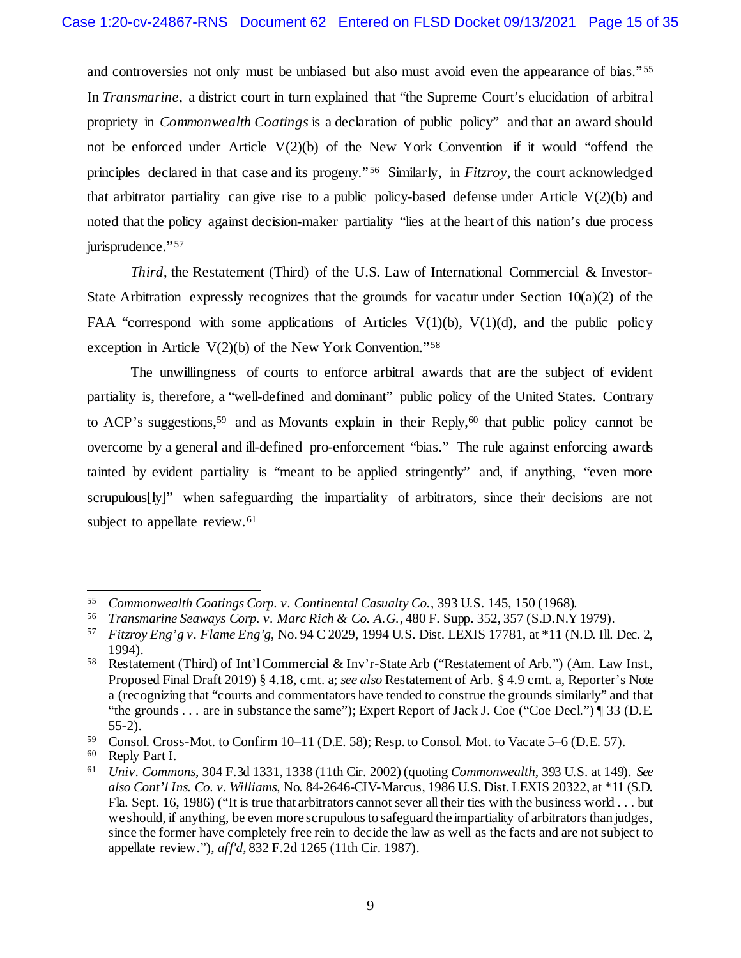and controversies not only must be unbiased but also must avoid even the appearance of bias."<sup>[55](#page-14-0)</sup> In *Transmarine*, a district court in turn explained that "the Supreme Court's elucidation of arbitral propriety in *Commonwealth Coatings* is a declaration of public policy" and that an award should not be enforced under Article  $V(2)(b)$  of the New York Convention if it would "offend the principles declared in that case and its progeny." [56](#page-14-1) Similarly, in *Fitzroy*, the court acknowledged that arbitrator partiality can give rise to a public policy-based defense under Article  $V(2)(b)$  and noted that the policy against decision-maker partiality "lies at the heart of this nation's due process jurisprudence." [57](#page-14-2)

*Third*, the Restatement (Third) of the U.S. Law of International Commercial & Investor-State Arbitration expressly recognizes that the grounds for vacatur under Section  $10(a)(2)$  of the FAA "correspond with some applications of Articles  $V(1)(b)$ ,  $V(1)(d)$ , and the public policy exception in Article V(2)(b) of the New York Convention."[58](#page-14-3)

The unwillingness of courts to enforce arbitral awards that are the subject of evident partiality is, therefore, a "well-defined and dominant" public policy of the United States. Contrary to ACP's suggestions,<sup>59</sup> and as Movants explain in their Reply,<sup>[60](#page-14-5)</sup> that public policy cannot be overcome by a general and ill-defined pro-enforcement "bias." The rule against enforcing awards tainted by evident partiality is "meant to be applied stringently" and, if anything, "even more scrupulous[ly]" when safeguarding the impartiality of arbitrators, since their decisions are not subject to appellate review.<sup>[61](#page-14-6)</sup>

<span id="page-14-0"></span> <sup>55</sup> *Commonwealth Coatings Corp. v. Continental Casualty Co.*, 393 U.S. 145, 150 (1968).

<span id="page-14-1"></span><sup>56</sup> *Transmarine Seaways Corp. v. Marc Rich & Co. A.G.*, 480 F. Supp. 352, 357 (S.D.N.Y 1979).

<span id="page-14-2"></span><sup>57</sup> *Fitzroy Eng'g v. Flame Eng'g*, No. 94 C 2029, 1994 U.S. Dist. LEXIS 17781, at \*11 (N.D. Ill. Dec. 2, 1994).

<span id="page-14-3"></span><sup>58</sup> Restatement (Third) of Int'l Commercial & Inv'r-State Arb ("Restatement of Arb.") (Am. Law Inst., Proposed Final Draft 2019) § 4.18, cmt. a; *see also* Restatement of Arb. § 4.9 cmt. a, Reporter's Note a (recognizing that "courts and commentators have tended to construe the grounds similarly" and that "the grounds . . . are in substance the same"); Expert Report of Jack J. Coe ("Coe Decl.") ¶ 33 (D.E. 55-2).

<span id="page-14-4"></span><sup>&</sup>lt;sup>59</sup> Consol. Cross-Mot. to Confirm 10–11 (D.E. 58); Resp. to Consol. Mot. to Vacate 5–6 (D.E. 57).<br><sup>60</sup> Reply Part I

<span id="page-14-5"></span>Reply Part I.

<span id="page-14-6"></span><sup>61</sup> *Univ. Commons*, 304 F.3d 1331, 1338 (11th Cir. 2002) (quoting *Commonwealth*, 393 U.S. at 149). *See also Cont'l Ins. Co. v. Williams*, No. 84-2646-CIV-Marcus, 1986 U.S. Dist. LEXIS 20322, at \*11 (S.D. Fla. Sept. 16, 1986) ("It is true that arbitrators cannot sever all their ties with the business world . . . but we should, if anything, be even more scrupulous to safeguard the impartiality of arbitrators than judges, since the former have completely free rein to decide the law as well as the facts and are not subject to appellate review."), *aff'd*, 832 F.2d 1265 (11th Cir. 1987).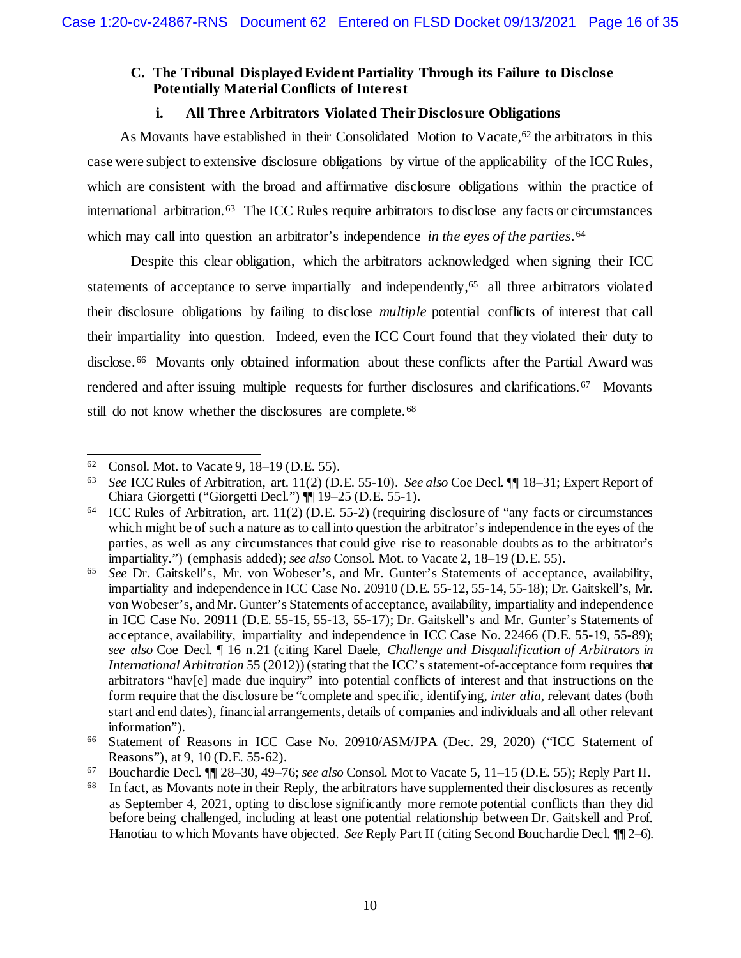## <span id="page-15-0"></span>**C. The Tribunal Displayed Evident Partiality Through its Failure to Disclose Potentially Material Conflicts of Interest**

## **i. All Three Arbitrators Violated Their Disclosure Obligations**

As Movants have established in their Consolidated Motion to Vacate,<sup>62</sup> the arbitrators in this case were subject to extensive disclosure obligations by virtue of the applicability of the ICC Rules, which are consistent with the broad and affirmative disclosure obligations within the practice of international arbitration.[63](#page-15-2) The ICC Rules require arbitrators to disclose any facts or circumstances which may call into question an arbitrator's independence *in the eyes of the parties*.[64](#page-15-3)

Despite this clear obligation, which the arbitrators acknowledged when signing their ICC statements of acceptance to serve impartially and independently,<sup>65</sup> all three arbitrators violated their disclosure obligations by failing to disclose *multiple* potential conflicts of interest that call their impartiality into question. Indeed, even the ICC Court found that they violated their duty to disclose.[66](#page-15-5) Movants only obtained information about these conflicts after the Partial Award was rendered and after issuing multiple requests for further disclosures and clarifications.<sup>[67](#page-15-6)</sup> Movants still do not know whether the disclosures are complete.<sup>[68](#page-15-7)</sup>

<span id="page-15-1"></span> <sup>62</sup> Consol. Mot. to Vacate 9, 18–19 (D.E. 55).

<span id="page-15-2"></span><sup>63</sup> *See* ICC Rules of Arbitration, art. 11(2) (D.E. 55-10). *See also* Coe Decl. ¶¶ 18–31; Expert Report of Chiara Giorgetti ("Giorgetti Decl.") ¶¶ 19–25 (D.E. 55-1).

<span id="page-15-3"></span><sup>64</sup> ICC Rules of Arbitration, art. 11(2) (D.E. 55-2) (requiring disclosure of "any facts or circumstances which might be of such a nature as to call into question the arbitrator's independence in the eyes of the parties, as well as any circumstances that could give rise to reasonable doubts as to the arbitrator's impartiality.") (emphasis added); *see also* Consol. Mot. to Vacate 2, 18–19 (D.E. 55).

<span id="page-15-4"></span><sup>65</sup> *See* Dr. Gaitskell's, Mr. von Wobeser's, and Mr. Gunter's Statements of acceptance, availability, impartiality and independence in ICC Case No. 20910 (D.E. 55-12, 55-14, 55-18); Dr. Gaitskell's, Mr. von Wobeser's, and Mr. Gunter's Statements of acceptance, availability, impartiality and independence in ICC Case No. 20911 (D.E. 55-15, 55-13, 55-17); Dr. Gaitskell's and Mr. Gunter's Statements of acceptance, availability, impartiality and independence in ICC Case No. 22466 (D.E. 55-19, 55-89); *see also* Coe Decl. ¶ 16 n.21 (citing Karel Daele, *Challenge and Disqualification of Arbitrators in International Arbitration* 55 (2012)) (stating that the ICC's statement-of-acceptance form requires that arbitrators "hav[e] made due inquiry" into potential conflicts of interest and that instructions on the form require that the disclosure be "complete and specific, identifying, *inter alia*, relevant dates (both start and end dates), financial arrangements, details of companies and individuals and all other relevant information").

<span id="page-15-5"></span><sup>66</sup> Statement of Reasons in ICC Case No. 20910/ASM/JPA (Dec. 29, 2020) ("ICC Statement of Reasons"), at 9, 10 (D.E. 55-62).

<span id="page-15-6"></span><sup>67</sup> Bouchardie Decl. ¶¶ 28–30, 49–76; *see also* Consol. Mot to Vacate 5, 11–15 (D.E. 55); Reply Part II.

<span id="page-15-7"></span><sup>&</sup>lt;sup>68</sup> In fact, as Movants note in their Reply, the arbitrators have supplemented their disclosures as recently as September 4, 2021, opting to disclose significantly more remote potential conflicts than they did before being challenged, including at least one potential relationship between Dr. Gaitskell and Prof. Hanotiau to which Movants have objected. *See* Reply Part II (citing Second Bouchardie Decl. ¶¶ 2–6).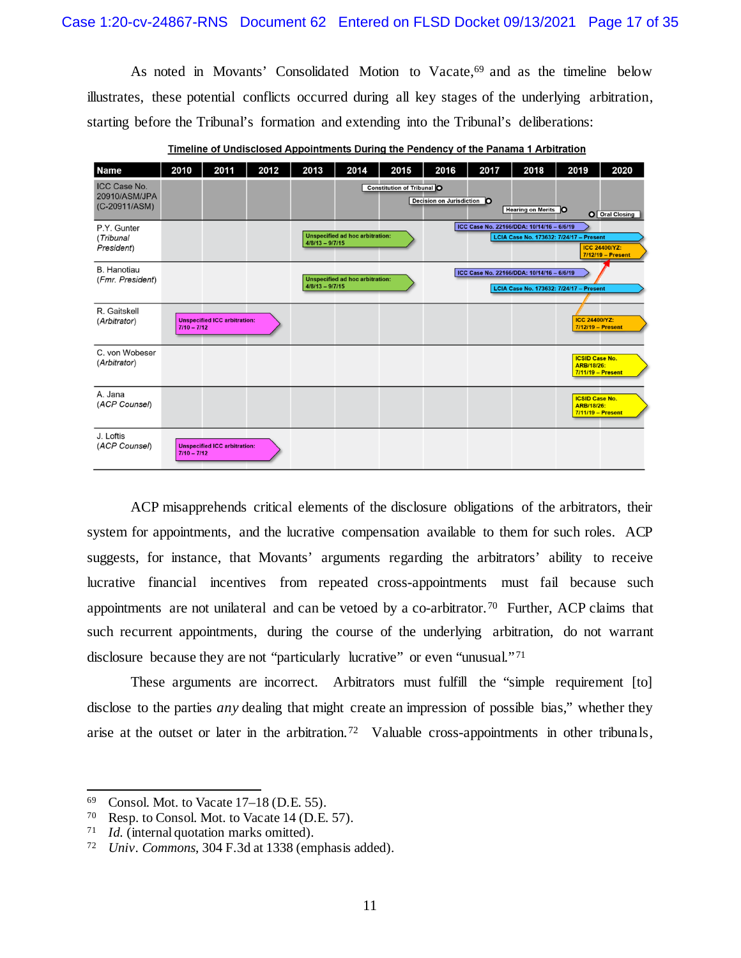As noted in Movants' Consolidated Motion to Vacate,<sup>[69](#page-16-0)</sup> and as the timeline below illustrates, these potential conflicts occurred during all key stages of the underlying arbitration, starting before the Tribunal's formation and extending into the Tribunal's deliberations:

| <b>Name</b>                                           | 2010          | 2011                                | 2012 | 2013              | 2014                                   | 2015                              | 2016                       | 2017 | 2018                                      | 2019                                                       | 2020                                        |
|-------------------------------------------------------|---------------|-------------------------------------|------|-------------------|----------------------------------------|-----------------------------------|----------------------------|------|-------------------------------------------|------------------------------------------------------------|---------------------------------------------|
| <b>ICC Case No.</b><br>20910/ASM/JPA<br>(C-20911/ASM) |               |                                     |      |                   |                                        | <b>Constitution of Tribunal O</b> | Decision on Jurisdiction O |      | <b>Hearing on Merits O</b>                |                                                            | O Oral Closing                              |
| P.Y. Gunter<br>(Tribunal<br>President)                |               |                                     |      | $4/8/13 - 9/7/15$ | <b>Unspecified ad hoc arbitration:</b> |                                   |                            |      | ICC Case No. 22166/DDA: 10/14/16 - 6/6/19 | LCIA Case No. 173632: 7/24/17 - Present                    | <b>ICC 24400/YZ:</b><br>$7/12/19$ - Present |
| <b>B.</b> Hanotiau<br>(Fmr. President)                |               |                                     |      | $4/8/13 - 9/7/15$ | <b>Unspecified ad hoc arbitration:</b> |                                   |                            |      | ICC Case No. 22166/DDA: 10/14/16 - 6/6/19 | LCIA Case No. 173632: 7/24/17 - Present                    |                                             |
| R. Gaitskell<br>(Arbitrator)                          | $7/10 - 7/12$ | <b>Unspecified ICC arbitration:</b> |      |                   |                                        |                                   |                            |      |                                           | <b>ICC 24400/YZ:</b><br>7/12/19 - Present                  |                                             |
| C. von Wobeser<br>(Arbitrator)                        |               |                                     |      |                   |                                        |                                   |                            |      |                                           | <b>ICSID Case No.</b><br>ARB/18/26:<br>7/11/19 - Present   |                                             |
| A. Jana<br>(ACP Counsel)                              |               |                                     |      |                   |                                        |                                   |                            |      |                                           | <b>ICSID Case No.</b><br>ARB/18/26:<br>$7/11/19$ - Present |                                             |
| J. Loftis<br>(ACP Counsel)                            | $7/10 - 7/12$ | <b>Unspecified ICC arbitration:</b> |      |                   |                                        |                                   |                            |      |                                           |                                                            |                                             |

Timeline of Undisclosed Appointments During the Pendency of the Panama 1 Arbitration

ACP misapprehends critical elements of the disclosure obligations of the arbitrators, their system for appointments, and the lucrative compensation available to them for such roles. ACP suggests, for instance, that Movants' arguments regarding the arbitrators' ability to receive lucrative financial incentives from repeated cross-appointments must fail because such appointments are not unilateral and can be vetoed by a co-arbitrator.<sup>[70](#page-16-1)</sup> Further, ACP claims that such recurrent appointments, during the course of the underlying arbitration, do not warrant disclosure because they are not "particularly lucrative" or even "unusual."[71](#page-16-2)

These arguments are incorrect. Arbitrators must fulfill the "simple requirement [to] disclose to the parties *any* dealing that might create an impression of possible bias," whether they arise at the outset or later in the arbitration.<sup>[72](#page-16-3)</sup> Valuable cross-appointments in other tribunals,

<span id="page-16-0"></span><sup>&</sup>lt;sup>69</sup> Consol. Mot. to Vacate  $17-18$  (D.E. 55).<br><sup>70</sup> Resp. to Consol. Mot. to Vacate 14 (D.F.

<span id="page-16-1"></span><sup>&</sup>lt;sup>70</sup> Resp. to Consol. Mot. to Vacate 14 (D.E. 57).<br><sup>71</sup> Id. (internal quotation marks omitted)

<span id="page-16-2"></span><sup>&</sup>lt;sup>71</sup> *Id.* (internal quotation marks omitted).<br><sup>72</sup> *Ilniv Commons*, 304 F.3d at 1338 (em

<span id="page-16-3"></span>*Univ. Commons*, 304 F.3d at 1338 (emphasis added).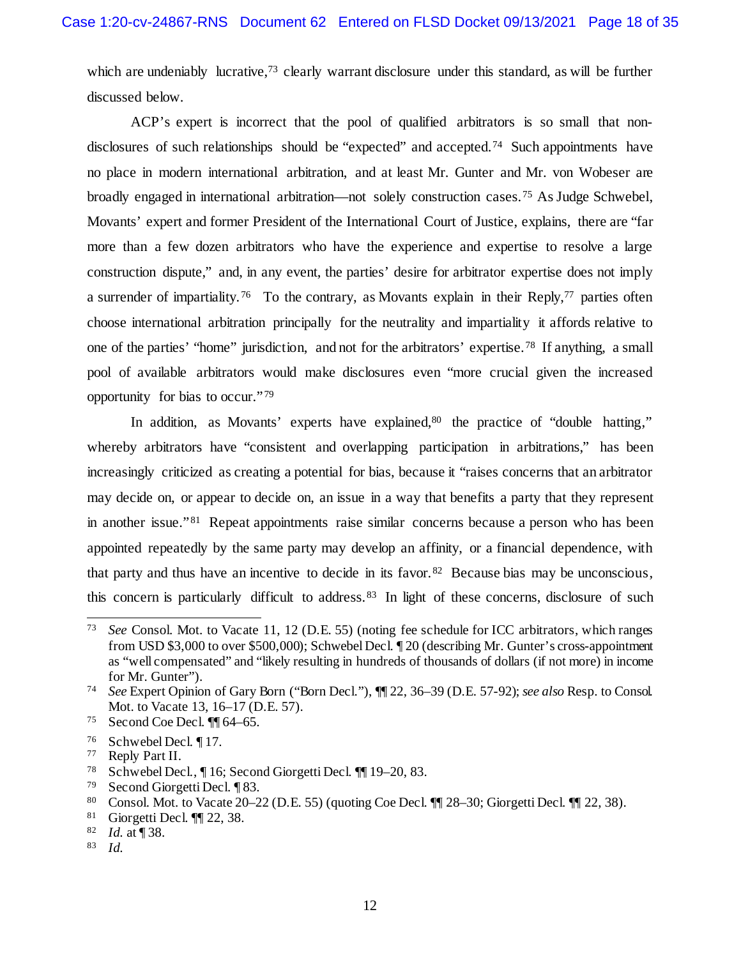which are undeniably lucrative,<sup>[73](#page-17-0)</sup> clearly warrant disclosure under this standard, as will be further discussed below.

ACP's expert is incorrect that the pool of qualified arbitrators is so small that nondisclosures of such relationships should be "expected" and accepted.[74](#page-17-1) Such appointments have no place in modern international arbitration, and at least Mr. Gunter and Mr. von Wobeser are broadly engaged in international arbitration—not solely construction cases.[75](#page-17-2) As Judge Schwebel, Movants' expert and former President of the International Court of Justice, explains, there are "far more than a few dozen arbitrators who have the experience and expertise to resolve a large construction dispute," and, in any event, the parties' desire for arbitrator expertise does not imply a surrender of impartiality.<sup>[76](#page-17-3)</sup> To the contrary, as Movants explain in their Reply,<sup>77</sup> parties often choose international arbitration principally for the neutrality and impartiality it affords relative to one of the parties' "home" jurisdiction, and not for the arbitrators' expertise. [78](#page-17-5) If anything, a small pool of available arbitrators would make disclosures even "more crucial given the increased opportunity for bias to occur." [79](#page-17-6)

In addition, as Movants' experts have explained, $80$  the practice of "double hatting," whereby arbitrators have "consistent and overlapping participation in arbitrations," has been increasingly criticized as creating a potential for bias, because it "raises concerns that an arbitrator may decide on, or appear to decide on, an issue in a way that benefits a party that they represent in another issue." <sup>81</sup> Repeat appointments raise similar concerns because a person who has been appointed repeatedly by the same party may develop an affinity, or a financial dependence, with that party and thus have an incentive to decide in its favor.<sup>82</sup> Because bias may be unconscious, this concern is particularly difficult to address. [83](#page-17-10) In light of these concerns, disclosure of such

<span id="page-17-6"></span><sup>79</sup> Second Giorgetti Decl. ¶ 83.

- <span id="page-17-8"></span><sup>81</sup> Giorgetti Decl.  $\P$  22, 38.<br><sup>82</sup> *Id* at **1**38
- <span id="page-17-10"></span><span id="page-17-9"></span> $\frac{82}{83}$  *Id.* at [38.]
- <sup>83</sup> *Id.*

<span id="page-17-0"></span> <sup>73</sup> *See* Consol. Mot. to Vacate 11, 12 (D.E. 55) (noting fee schedule for ICC arbitrators, which ranges from USD \$3,000 to over \$500,000); Schwebel Decl. ¶ 20 (describing Mr. Gunter's cross-appointment as "well compensated" and "likely resulting in hundreds of thousands of dollars (if not more) in income for Mr. Gunter").

<span id="page-17-1"></span><sup>74</sup> *See* Expert Opinion of Gary Born ("Born Decl."), ¶¶ 22, 36–39 (D.E. 57-92); *see also* Resp. to Consol. Mot. to Vacate 13, 16–17 (D.E. 57).

<span id="page-17-2"></span><sup>75</sup> Second Coe Decl. ¶¶ 64–65.

<span id="page-17-4"></span><span id="page-17-3"></span><sup>&</sup>lt;sup>76</sup> Schwebel Decl.  $\P$ 17.<br><sup>77</sup> Reply Part II

Reply Part II.

<span id="page-17-5"></span><sup>78</sup> Schwebel Decl., ¶ 16; Second Giorgetti Decl. ¶¶ 19–20, 83.

<span id="page-17-7"></span><sup>80</sup> Consol. Mot. to Vacate 20–22 (D.E. 55) (quoting Coe Decl.  $\P$  28–30; Giorgetti Decl.  $\P$  22, 38).<br>81 Giorgetti Decl.  $\P$  22, 38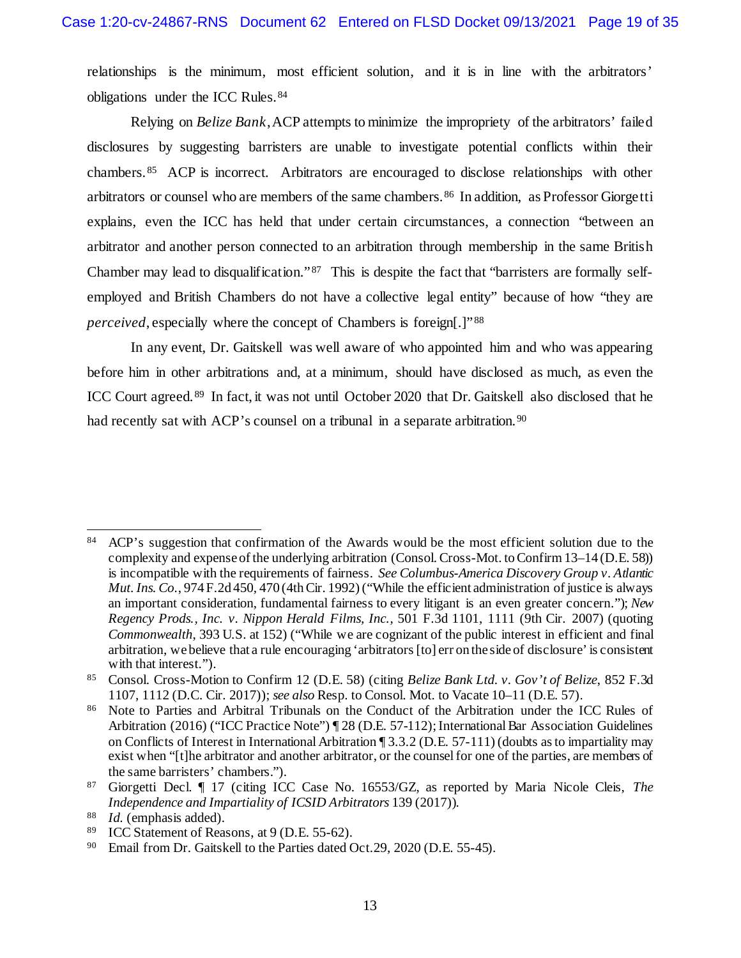relationships is the minimum, most efficient solution, and it is in line with the arbitrators' obligations under the ICC Rules.<sup>[84](#page-18-0)</sup>

Relying on *Belize Bank*,ACP attempts to minimize the impropriety of the arbitrators' failed disclosures by suggesting barristers are unable to investigate potential conflicts within their chambers.[85](#page-18-1) ACP is incorrect. Arbitrators are encouraged to disclose relationships with other arbitrators or counsel who are members of the same chambers.[86](#page-18-2) In addition, as Professor Giorgetti explains, even the ICC has held that under certain circumstances, a connection "between an arbitrator and another person connected to an arbitration through membership in the same British Chamber may lead to disqualification." [87](#page-18-3) This is despite the fact that "barristers are formally selfemployed and British Chambers do not have a collective legal entity" because of how "they are *perceived*, especially where the concept of Chambers is foreign[.]"<sup>[88](#page-18-4)</sup>

In any event, Dr. Gaitskell was well aware of who appointed him and who was appearing before him in other arbitrations and, at a minimum, should have disclosed as much, as even the ICC Court agreed. [89](#page-18-5) In fact, it was not until October 2020 that Dr. Gaitskell also disclosed that he had recently sat with ACP's counsel on a tribunal in a separate arbitration.<sup>[90](#page-18-6)</sup>

<span id="page-18-0"></span><sup>84</sup> ACP's suggestion that confirmation of the Awards would be the most efficient solution due to the complexity and expense of the underlying arbitration (Consol. Cross-Mot. to Confirm 13–14 (D.E. 58)) is incompatible with the requirements of fairness. *See Columbus-America Discovery Group v. Atlantic Mut. Ins. Co*., 974 F.2d 450, 470 (4th Cir. 1992) ("While the efficient administration of justice is always an important consideration, fundamental fairness to every litigant is an even greater concern."); *New Regency Prods., Inc. v. Nippon Herald Films, Inc.*, 501 F.3d 1101, 1111 (9th Cir. 2007) (quoting *Commonwealth*, 393 U.S. at 152) ("While we are cognizant of the public interest in efficient and final arbitration, we believe that a rule encouraging 'arbitrators [to] err on the side of disclosure' is consistent with that interest.").

<span id="page-18-1"></span><sup>85</sup> Consol. Cross-Motion to Confirm 12 (D.E. 58) (citing *Belize Bank Ltd. v. Gov't of Belize*, 852 F.3d 1107, 1112 (D.C. Cir. 2017)); *see also* Resp. to Consol. Mot. to Vacate 10–11 (D.E. 57).

<span id="page-18-2"></span><sup>86</sup> Note to Parties and Arbitral Tribunals on the Conduct of the Arbitration under the ICC Rules of Arbitration (2016) ("ICC Practice Note") ¶ 28 (D.E. 57-112); International Bar Association Guidelines on Conflicts of Interest in International Arbitration ¶ 3.3.2 (D.E. 57-111) (doubts as to impartiality may exist when "[t]he arbitrator and another arbitrator, or the counsel for one of the parties, are members of the same barristers' chambers.").

<span id="page-18-3"></span><sup>87</sup> Giorgetti Decl. ¶ 17 (citing ICC Case No. 16553/GZ, as reported by Maria Nicole Cleis, *The Independence and Impartiality of ICSID Arbitrators* 139 (2017)).

<span id="page-18-4"></span><sup>&</sup>lt;sup>88</sup> *Id.* (emphasis added).<br><sup>89</sup> **ICC** Statement of Reason

<span id="page-18-5"></span><sup>&</sup>lt;sup>89</sup> ICC Statement of Reasons, at  $9$  (D.E. 55-62).<br><sup>90</sup> Email from Dr. Gaitskell to the Parties dated C

<span id="page-18-6"></span>Email from Dr. Gaitskell to the Parties dated Oct.29, 2020 (D.E. 55-45).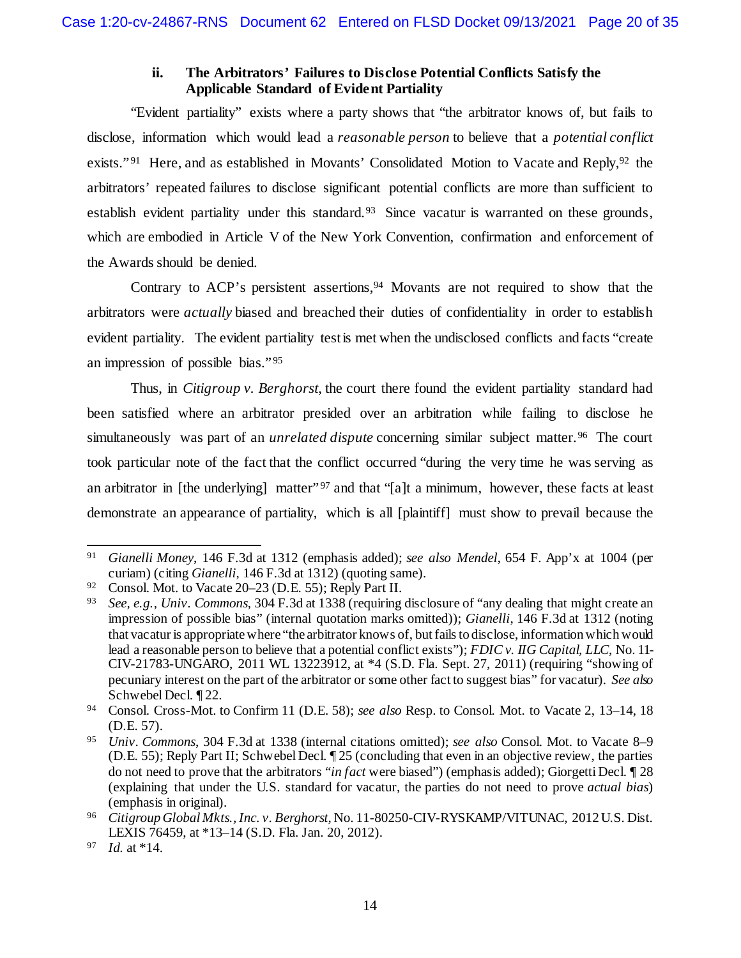## **ii. The Arbitrators' Failures to Disclose Potential Conflicts Satisfy the Applicable Standard of Evident Partiality**

"Evident partiality" exists where a party shows that "the arbitrator knows of, but fails to disclose, information which would lead a *reasonable person* to believe that a *potential conflict* exists."<sup>[91](#page-19-0)</sup> Here, and as established in Movants' Consolidated Motion to Vacate and Reply,<sup>[92](#page-19-1)</sup> the arbitrators' repeated failures to disclose significant potential conflicts are more than sufficient to establish evident partiality under this standard.<sup>[93](#page-19-2)</sup> Since vacatur is warranted on these grounds, which are embodied in Article V of the New York Convention, confirmation and enforcement of the Awards should be denied.

Contrary to ACP's persistent assertions,<sup>[94](#page-19-3)</sup> Movants are not required to show that the arbitrators were *actually* biased and breached their duties of confidentiality in order to establish evident partiality. The evident partiality test is met when the undisclosed conflicts and facts "create an impression of possible bias." [95](#page-19-4) 

Thus, in *Citigroup v. Berghorst*, the court there found the evident partiality standard had been satisfied where an arbitrator presided over an arbitration while failing to disclose he simultaneously was part of an *unrelated dispute* concerning similar subject matter.<sup>96</sup> The court took particular note of the fact that the conflict occurred "during the very time he was serving as an arbitrator in [the underlying] matter"<sup>[97](#page-19-6)</sup> and that "[a]t a minimum, however, these facts at least demonstrate an appearance of partiality, which is all [plaintiff] must show to prevail because the

<span id="page-19-0"></span> <sup>91</sup> *Gianelli Money*, 146 F.3d at 1312 (emphasis added); *see also Mendel*, 654 F. App'x at 1004 (per curiam) (citing *Gianelli*, 146 F.3d at 1312) (quoting same).

<span id="page-19-1"></span><sup>92</sup> Consol. Mot. to Vacate 20–23 (D.E. 55); Reply Part II.

<span id="page-19-2"></span><sup>93</sup> *See, e.g.*, *Univ. Commons*, 304 F.3d at 1338 (requiring disclosure of "any dealing that might create an impression of possible bias" (internal quotation marks omitted)); *Gianelli*, 146 F.3d at 1312 (noting that vacatur is appropriate where "the arbitrator knows of, but fails to disclose, information which would lead a reasonable person to believe that a potential conflict exists"); *FDIC v. IIG Capital, LLC*, No. 11- CIV-21783-UNGARO, 2011 WL 13223912, at \*4 (S.D. Fla. Sept. 27, 2011) (requiring "showing of pecuniary interest on the part of the arbitrator or some other fact to suggest bias" for vacatur). *See also*  Schwebel Decl. ¶ 22.

<span id="page-19-3"></span><sup>94</sup> Consol. Cross-Mot. to Confirm 11 (D.E. 58); *see also* Resp. to Consol. Mot. to Vacate 2, 13–14, 18 (D.E. 57).

<span id="page-19-4"></span><sup>95</sup> *Univ. Commons*, 304 F.3d at 1338 (internal citations omitted); *see also* Consol. Mot. to Vacate 8–9 (D.E. 55); Reply Part II; Schwebel Decl. ¶ 25 (concluding that even in an objective review, the parties do not need to prove that the arbitrators "*in fact* were biased") (emphasis added); Giorgetti Decl. ¶ 28 (explaining that under the U.S. standard for vacatur, the parties do not need to prove *actual bias*) (emphasis in original).

<span id="page-19-5"></span><sup>96</sup> *Citigroup Global Mkts., Inc. v. Berghorst*, No. 11-80250-CIV-RYSKAMP/VITUNAC, 2012 U.S. Dist. LEXIS 76459, at \*13–14 (S.D. Fla. Jan. 20, 2012). 97 *Id.* at \*14.

<span id="page-19-6"></span>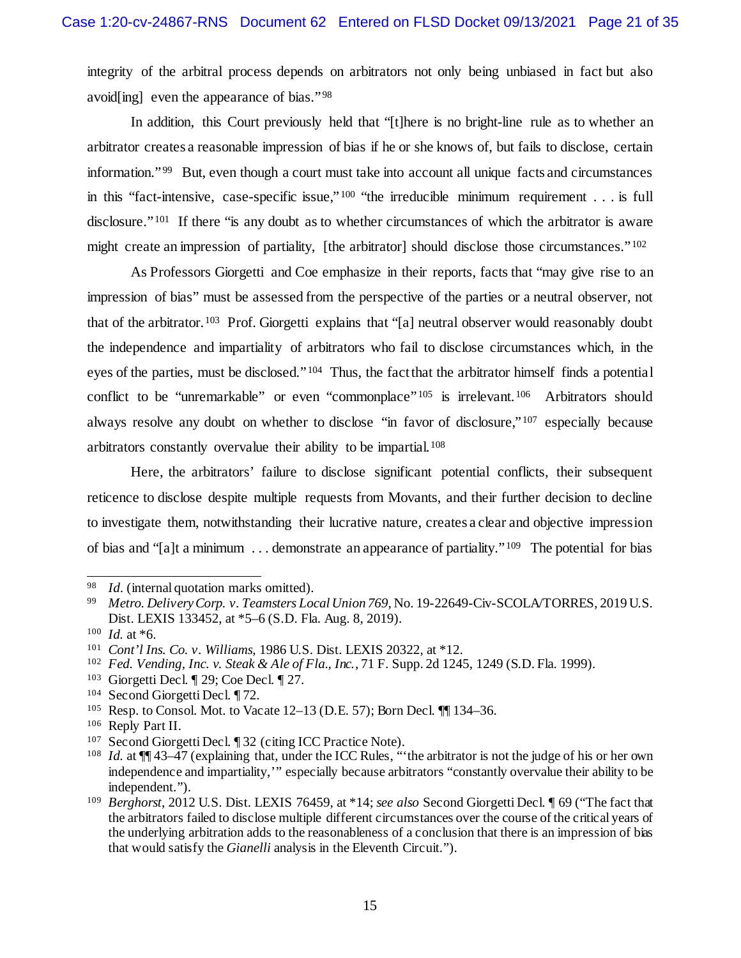integrity of the arbitral process depends on arbitrators not only being unbiased in fact but also avoid[ing] even the appearance of bias." [98](#page-20-0)

In addition, this Court previously held that "[t]here is no bright-line rule as to whether an arbitrator creates a reasonable impression of bias if he or she knows of, but fails to disclose, certain information." [99](#page-20-1) But, even though a court must take into account all unique facts and circumstances in this "fact-intensive, case-specific issue," [100](#page-20-2) "the irreducible minimum requirement . . . is full disclosure."<sup>[101](#page-20-3)</sup> If there "is any doubt as to whether circumstances of which the arbitrator is aware might create an impression of partiality, [the arbitrator] should disclose those circumstances." $102$ 

As Professors Giorgetti and Coe emphasize in their reports, facts that "may give rise to an impression of bias" must be assessed from the perspective of the parties or a neutral observer, not that of the arbitrator.[103](#page-20-5) Prof. Giorgetti explains that "[a] neutral observer would reasonably doubt the independence and impartiality of arbitrators who fail to disclose circumstances which, in the eyes of the parties, must be disclosed." [104](#page-20-6) Thus, the fact that the arbitrator himself finds a potential conflict to be "unremarkable" or even "commonplace"<sup>[105](#page-20-7)</sup> is irrelevant.<sup>[106](#page-20-8)</sup> Arbitrators should always resolve any doubt on whether to disclose "in favor of disclosure,"<sup>[107](#page-20-9)</sup> especially because arbitrators constantly overvalue their ability to be impartial.[108](#page-20-10)

Here, the arbitrators' failure to disclose significant potential conflicts, their subsequent reticence to disclose despite multiple requests from Movants, and their further decision to decline to investigate them, notwithstanding their lucrative nature, creates a clear and objective impression of bias and "[a]t a minimum . . . demonstrate an appearance of partiality." [109](#page-20-11) The potential for bias

<span id="page-20-5"></span><sup>103</sup> Giorgetti Decl. ¶ 29; Coe Decl. ¶ 27.

<span id="page-20-0"></span> <sup>98</sup> *Id*. (internal quotation marks omitted).

<span id="page-20-1"></span><sup>99</sup> *Metro. Delivery Corp. v. Teamsters Local Union 769*, No. 19-22649-Civ-SCOLA/TORRES, 2019 U.S. Dist. LEXIS 133452, at \*5–6 (S.D. Fla. Aug. 8, 2019).

<span id="page-20-2"></span> $100$  *Id.* at  $*6$ .

<span id="page-20-3"></span><sup>101</sup> *Cont'l Ins. Co. v. Williams*, 1986 U.S. Dist. LEXIS 20322, at \*12.

<span id="page-20-4"></span><sup>102</sup> *Fed. Vending, Inc. v. Steak & Ale of Fla., Inc.*, 71 F. Supp. 2d 1245, 1249 (S.D. Fla. 1999).

<span id="page-20-6"></span><sup>104</sup> Second Giorgetti Decl. ¶ 72.

<span id="page-20-7"></span><sup>105</sup> Resp. to Consol. Mot. to Vacate 12–13 (D.E. 57); Born Decl. ¶¶ 134–36.

<span id="page-20-8"></span><sup>106</sup> Reply Part II.

<span id="page-20-10"></span><span id="page-20-9"></span><sup>&</sup>lt;sup>107</sup> Second Giorgetti Decl.  $\sqrt{ }$  32 (citing ICC Practice Note).<br><sup>108</sup> *Id* at  $\sqrt{ }$  43–47 (explaining that under the ICC Rules "

*Id.* at  $\P$  43–47 (explaining that, under the ICC Rules, "the arbitrator is not the judge of his or her own independence and impartiality,'" especially because arbitrators "constantly overvalue their ability to be independent.").

<span id="page-20-11"></span><sup>109</sup> *Berghorst*, 2012 U.S. Dist. LEXIS 76459, at \*14; *see also* Second Giorgetti Decl. ¶ 69 ("The fact that the arbitrators failed to disclose multiple different circumstances over the course of the critical years of the underlying arbitration adds to the reasonableness of a conclusion that there is an impression of bias that would satisfy the *Gianelli* analysis in the Eleventh Circuit.").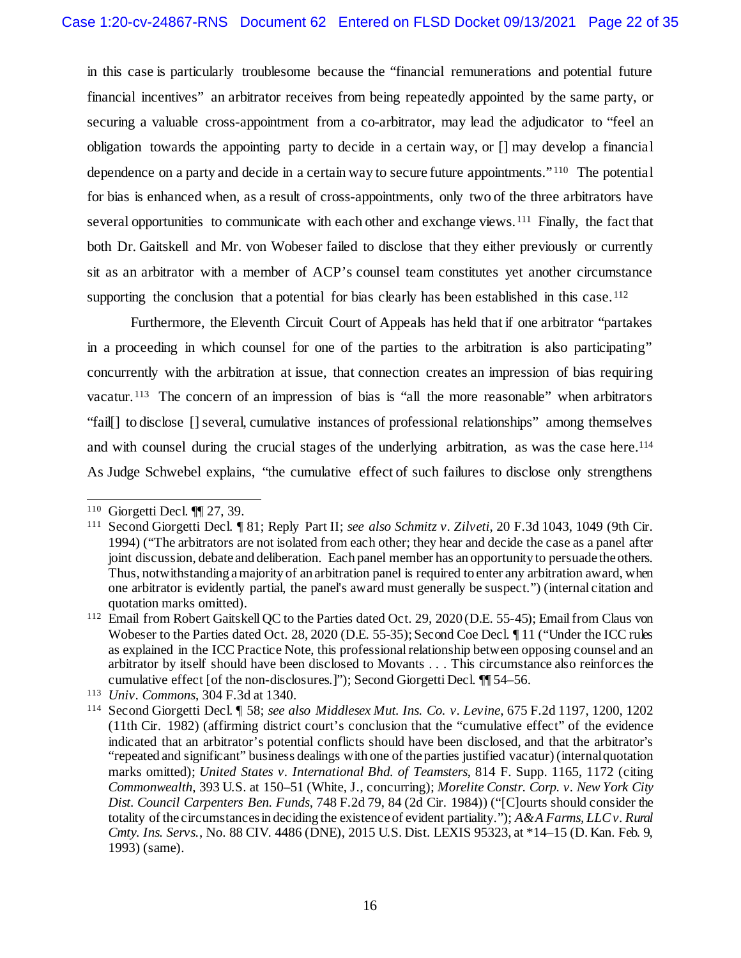in this case is particularly troublesome because the "financial remunerations and potential future financial incentives" an arbitrator receives from being repeatedly appointed by the same party, or securing a valuable cross-appointment from a co-arbitrator, may lead the adjudicator to "feel an obligation towards the appointing party to decide in a certain way, or [] may develop a financial dependence on a party and decide in a certain way to secure future appointments."[110](#page-21-0) The potential for bias is enhanced when, as a result of cross-appointments, only two of the three arbitrators have several opportunities to communicate with each other and exchange views.<sup>[111](#page-21-1)</sup> Finally, the fact that both Dr. Gaitskell and Mr. von Wobeser failed to disclose that they either previously or currently sit as an arbitrator with a member of ACP's counsel team constitutes yet another circumstance supporting the conclusion that a potential for bias clearly has been established in this case.<sup>[112](#page-21-2)</sup>

Furthermore, the Eleventh Circuit Court of Appeals has held that if one arbitrator "partakes in a proceeding in which counsel for one of the parties to the arbitration is also participating" concurrently with the arbitration at issue, that connection creates an impression of bias requiring vacatur.<sup>[113](#page-21-3)</sup> The concern of an impression of bias is "all the more reasonable" when arbitrators "fail[] to disclose [] several, cumulative instances of professional relationships" among themselves and with counsel during the crucial stages of the underlying arbitration, as was the case here.<sup>[114](#page-21-4)</sup> As Judge Schwebel explains, "the cumulative effect of such failures to disclose only strengthens

<span id="page-21-1"></span><span id="page-21-0"></span><sup>&</sup>lt;sup>110</sup> Giorgetti Decl.  $\P$  27, 39.<br><sup>111</sup> Second Giorgetti Decl.  $\P$ 

<sup>111</sup> Second Giorgetti Decl. ¶ 81; Reply Part II; *see also Schmitz v. Zilveti*, 20 F.3d 1043, 1049 (9th Cir. 1994) ("The arbitrators are not isolated from each other; they hear and decide the case as a panel after joint discussion, debate and deliberation. Each panel member has an opportunity to persuade the others. Thus, notwithstanding a majority of an arbitration panel is required to enter any arbitration award, when one arbitrator is evidently partial, the panel's award must generally be suspect.") (internal citation and quotation marks omitted).

<span id="page-21-2"></span><sup>&</sup>lt;sup>112</sup> Email from Robert Gaitskell QC to the Parties dated Oct. 29, 2020 (D.E. 55-45); Email from Claus von Wobeser to the Parties dated Oct. 28, 2020 (D.E. 55-35); Second Coe Decl. *I* 11 ("Under the ICC rules" as explained in the ICC Practice Note, this professional relationship between opposing counsel and an arbitrator by itself should have been disclosed to Movants . . . This circumstance also reinforces the cumulative effect [of the non-disclosures.]"); Second Giorgetti Decl. ¶¶ 54–56.

<span id="page-21-3"></span><sup>113</sup> *Univ. Commons*, 304 F.3d at 1340.

<span id="page-21-4"></span><sup>114</sup> Second Giorgetti Decl. ¶ 58; *see also Middlesex Mut. Ins. Co. v. Levine*, 675 F.2d 1197, 1200, 1202 (11th Cir. 1982) (affirming district court's conclusion that the "cumulative effect" of the evidence indicated that an arbitrator's potential conflicts should have been disclosed, and that the arbitrator's "repeated and significant" business dealings with one of the parties justified vacatur) (internal quotation marks omitted); *United States v. International Bhd. of Teamsters*, 814 F. Supp. 1165, 1172 (citing *Commonwealth*, 393 U.S. at 150–51 (White, J., concurring); *Morelite Constr. Corp. v. New York City Dist. Council Carpenters Ben. Funds*, 748 F.2d 79, 84 (2d Cir. 1984)) ("[C]ourts should consider the totality of the circumstances in deciding the existence of evident partiality."); *A&A Farms, LLC v. Rural Cmty. Ins. Servs.*, No. 88 CIV. 4486 (DNE), 2015 U.S. Dist. LEXIS 95323, at \*14–15 (D. Kan. Feb. 9, 1993) (same).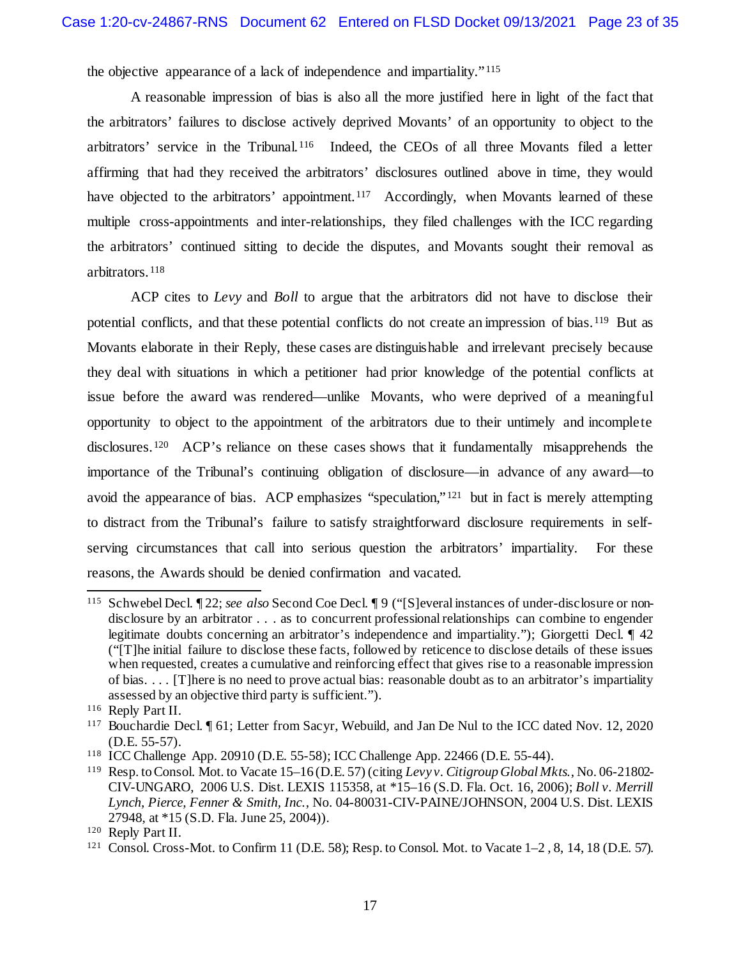the objective appearance of a lack of independence and impartiality." [115](#page-22-0)

A reasonable impression of bias is also all the more justified here in light of the fact that the arbitrators' failures to disclose actively deprived Movants' of an opportunity to object to the arbitrators' service in the Tribunal.[116](#page-22-1) Indeed, the CEOs of all three Movants filed a letter affirming that had they received the arbitrators' disclosures outlined above in time, they would have objected to the arbitrators' appointment.<sup>[117](#page-22-2)</sup> Accordingly, when Movants learned of these multiple cross-appointments and inter-relationships, they filed challenges with the ICC regarding the arbitrators' continued sitting to decide the disputes, and Movants sought their removal as arbitrators. [118](#page-22-3)

ACP cites to *Levy* and *Boll* to argue that the arbitrators did not have to disclose their potential conflicts, and that these potential conflicts do not create an impression of bias.[119](#page-22-4) But as Movants elaborate in their Reply, these cases are distinguishable and irrelevant precisely because they deal with situations in which a petitioner had prior knowledge of the potential conflicts at issue before the award was rendered—unlike Movants, who were deprived of a meaningful opportunity to object to the appointment of the arbitrators due to their untimely and incomplete disclosures.[120](#page-22-5) ACP's reliance on these cases shows that it fundamentally misapprehends the importance of the Tribunal's continuing obligation of disclosure—in advance of any award—to avoid the appearance of bias. ACP emphasizes "speculation," [121](#page-22-6) but in fact is merely attempting to distract from the Tribunal's failure to satisfy straightforward disclosure requirements in selfserving circumstances that call into serious question the arbitrators' impartiality. For these reasons, the Awards should be denied confirmation and vacated.

<span id="page-22-0"></span> <sup>115</sup> Schwebel Decl. ¶ 22; *see also* Second Coe Decl. ¶ 9 ("[S]everal instances of under-disclosure or nondisclosure by an arbitrator . . . as to concurrent professional relationships can combine to engender legitimate doubts concerning an arbitrator's independence and impartiality."); Giorgetti Decl. ¶ 42 ("[T]he initial failure to disclose these facts, followed by reticence to disclose details of these issues when requested, creates a cumulative and reinforcing effect that gives rise to a reasonable impression of bias. . . . [T]here is no need to prove actual bias: reasonable doubt as to an arbitrator's impartiality assessed by an objective third party is sufficient.").

<span id="page-22-1"></span><sup>116</sup> Reply Part II.

<span id="page-22-2"></span><sup>117</sup> Bouchardie Decl. ¶ 61; Letter from Sacyr, Webuild, and Jan De Nul to the ICC dated Nov. 12, 2020 (D.E. 55-57).

<span id="page-22-3"></span><sup>118</sup> ICC Challenge App. 20910 (D.E. 55-58); ICC Challenge App. 22466 (D.E. 55-44).

<span id="page-22-4"></span><sup>119</sup> Resp. to Consol. Mot. to Vacate 15–16 (D.E. 57) (citing *Levy v. Citigroup Global Mkts.*, No. 06-21802- CIV-UNGARO, 2006 U.S. Dist. LEXIS 115358, at \*15–16 (S.D. Fla. Oct. 16, 2006); *Boll v. Merrill Lynch, Pierce, Fenner & Smith, Inc.*, No. 04-80031-CIV-PAINE/JOHNSON, 2004 U.S. Dist. LEXIS 27948, at \*15 (S.D. Fla. June 25, 2004)).

<span id="page-22-5"></span><sup>120</sup> Reply Part II.

<span id="page-22-6"></span><sup>121</sup> Consol. Cross-Mot. to Confirm 11 (D.E. 58); Resp. to Consol. Mot. to Vacate 1–2 , 8, 14, 18 (D.E. 57).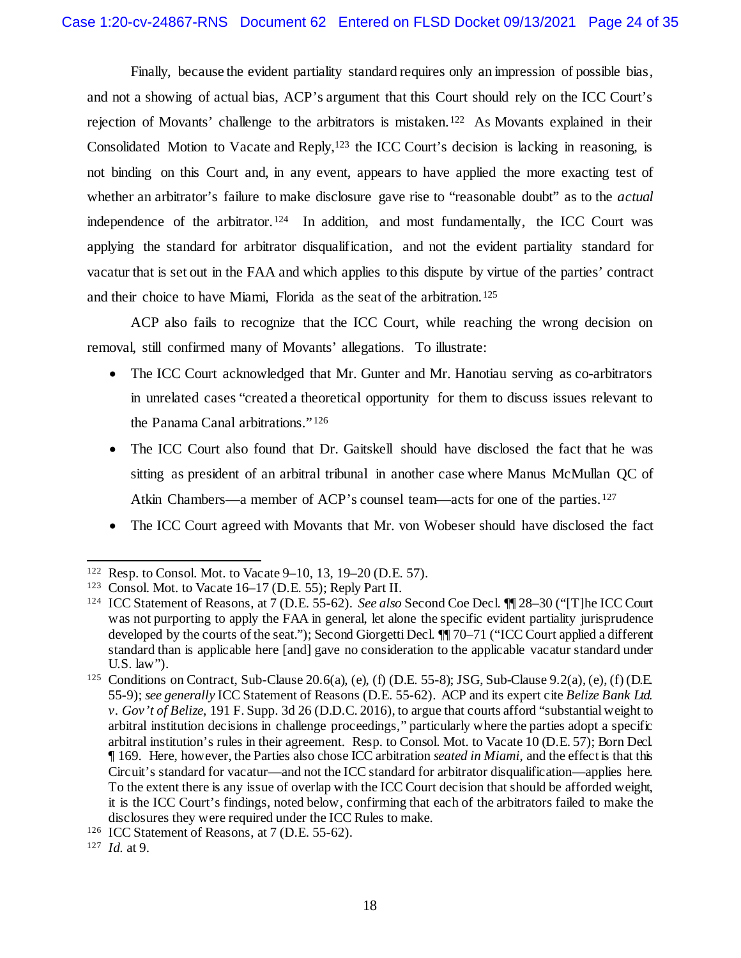Finally, because the evident partiality standard requires only an impression of possible bias, and not a showing of actual bias, ACP's argument that this Court should rely on the ICC Court's rejection of Movants' challenge to the arbitrators is mistaken.[122](#page-23-0) As Movants explained in their Consolidated Motion to Vacate and Reply,<sup>[123](#page-23-1)</sup> the ICC Court's decision is lacking in reasoning, is not binding on this Court and, in any event, appears to have applied the more exacting test of whether an arbitrator's failure to make disclosure gave rise to "reasonable doubt" as to the *actual* independence of the arbitrator.[124](#page-23-2) In addition, and most fundamentally, the ICC Court was applying the standard for arbitrator disqualification, and not the evident partiality standard for vacatur that is set out in the FAA and which applies to this dispute by virtue of the parties' contract and their choice to have Miami, Florida as the seat of the arbitration.[125](#page-23-3)

ACP also fails to recognize that the ICC Court, while reaching the wrong decision on removal, still confirmed many of Movants' allegations. To illustrate:

- The ICC Court acknowledged that Mr. Gunter and Mr. Hanotiau serving as co-arbitrators in unrelated cases "created a theoretical opportunity for them to discuss issues relevant to the Panama Canal arbitrations." [126](#page-23-4)
- The ICC Court also found that Dr. Gaitskell should have disclosed the fact that he was sitting as president of an arbitral tribunal in another case where Manus McMullan QC of Atkin Chambers—a member of ACP's counsel team—acts for one of the parties.<sup>127</sup>
- The ICC Court agreed with Movants that Mr. von Wobeser should have disclosed the fact

<span id="page-23-0"></span> <sup>122</sup> Resp. to Consol. Mot. to Vacate 9–10, 13, 19–20 (D.E. 57).

<span id="page-23-1"></span><sup>123</sup> Consol. Mot. to Vacate 16–17 (D.E. 55); Reply Part II.

<span id="page-23-2"></span><sup>124</sup> ICC Statement of Reasons, at 7 (D.E. 55-62). *See also* Second Coe Decl. ¶¶ 28–30 ("[T]he ICC Court was not purporting to apply the FAA in general, let alone the specific evident partiality jurisprudence developed by the courts of the seat."); Second Giorgetti Decl. ¶¶ 70–71 ("ICC Court applied a different standard than is applicable here [and] gave no consideration to the applicable vacatur standard under U.S. law").

<span id="page-23-3"></span><sup>125</sup> Conditions on Contract, Sub-Clause 20.6(a), (e), (f) (D.E. 55-8); JSG, Sub-Clause 9.2(a), (e), (f) (D.E. 55-9); *see generally* ICC Statement of Reasons (D.E. 55-62). ACP and its expert cite *Belize Bank Ltd. v. Gov't of Belize*, 191 F. Supp. 3d 26 (D.D.C. 2016), to argue that courts afford "substantial weight to arbitral institution decisions in challenge proceedings," particularly where the parties adopt a specific arbitral institution's rules in their agreement. Resp. to Consol. Mot. to Vacate 10 (D.E. 57); Born Decl. ¶ 169. Here, however, the Parties also chose ICC arbitration *seated in Miami*, and the effect is that this Circuit's standard for vacatur—and not the ICC standard for arbitrator disqualification—applies here. To the extent there is any issue of overlap with the ICC Court decision that should be afforded weight, it is the ICC Court's findings, noted below, confirming that each of the arbitrators failed to make the disclosures they were required under the ICC Rules to make.

<span id="page-23-4"></span><sup>126</sup> ICC Statement of Reasons, at 7 (D.E. 55-62).

<span id="page-23-5"></span><sup>127</sup> *Id.* at 9.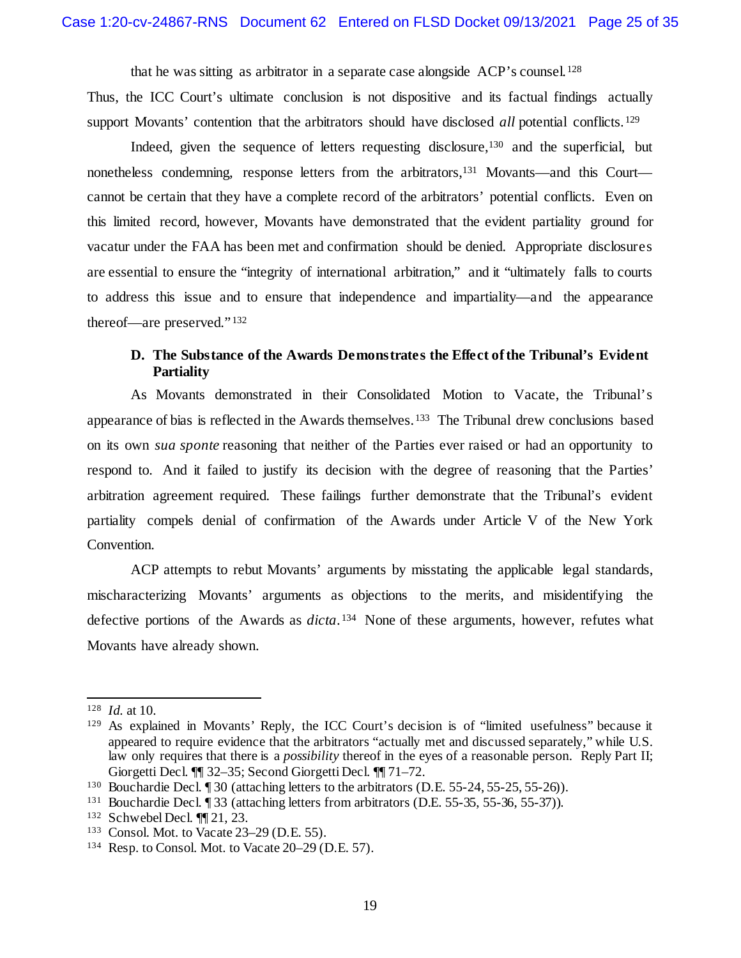that he was sitting as arbitrator in a separate case alongside ACP's counsel.[128](#page-24-1)  Thus, the ICC Court's ultimate conclusion is not dispositive and its factual findings actually support Movants' contention that the arbitrators should have disclosed *all* potential conflicts.<sup>129</sup>

Indeed, given the sequence of letters requesting disclosure,[130](#page-24-3) and the superficial, but nonetheless condemning, response letters from the arbitrators,<sup>131</sup> Movants—and this Court cannot be certain that they have a complete record of the arbitrators' potential conflicts. Even on this limited record, however, Movants have demonstrated that the evident partiality ground for vacatur under the FAA has been met and confirmation should be denied. Appropriate disclosures are essential to ensure the "integrity of international arbitration," and it "ultimately falls to courts to address this issue and to ensure that independence and impartiality—and the appearance thereof—are preserved." [132](#page-24-5)

#### <span id="page-24-0"></span>**D. The Substance of the Awards Demonstrates the Effect of the Tribunal's Evident Partiality**

As Movants demonstrated in their Consolidated Motion to Vacate, the Tribunal's appearance of bias is reflected in the Awards themselves.[133](#page-24-6) The Tribunal drew conclusions based on its own *sua sponte* reasoning that neither of the Parties ever raised or had an opportunity to respond to. And it failed to justify its decision with the degree of reasoning that the Parties' arbitration agreement required. These failings further demonstrate that the Tribunal's evident partiality compels denial of confirmation of the Awards under Article V of the New York Convention.

ACP attempts to rebut Movants' arguments by misstating the applicable legal standards, mischaracterizing Movants' arguments as objections to the merits, and misidentifying the defective portions of the Awards as *dicta*. [134](#page-24-7) None of these arguments, however, refutes what Movants have already shown.

<span id="page-24-1"></span> <sup>128</sup> *Id.* at 10.

<span id="page-24-2"></span><sup>129</sup> As explained in Movants' Reply, the ICC Court's decision is of "limited usefulness" because it appeared to require evidence that the arbitrators "actually met and discussed separately," while U.S. law only requires that there is a *possibility* thereof in the eyes of a reasonable person. Reply Part II; Giorgetti Decl. ¶¶ 32–35; Second Giorgetti Decl. ¶¶ 71–72.

<span id="page-24-3"></span><sup>130</sup> Bouchardie Decl. ¶ 30 (attaching letters to the arbitrators (D.E. 55-24, 55-25, 55-26)).

<span id="page-24-4"></span><sup>131</sup> Bouchardie Decl. ¶ 33 (attaching letters from arbitrators (D.E. 55-35, 55-36, 55-37)).

<span id="page-24-5"></span><sup>132</sup> Schwebel Decl. ¶¶ 21, 23.

<span id="page-24-6"></span><sup>133</sup> Consol. Mot. to Vacate 23–29 (D.E. 55).

<span id="page-24-7"></span><sup>134</sup> Resp. to Consol. Mot. to Vacate 20–29 (D.E. 57).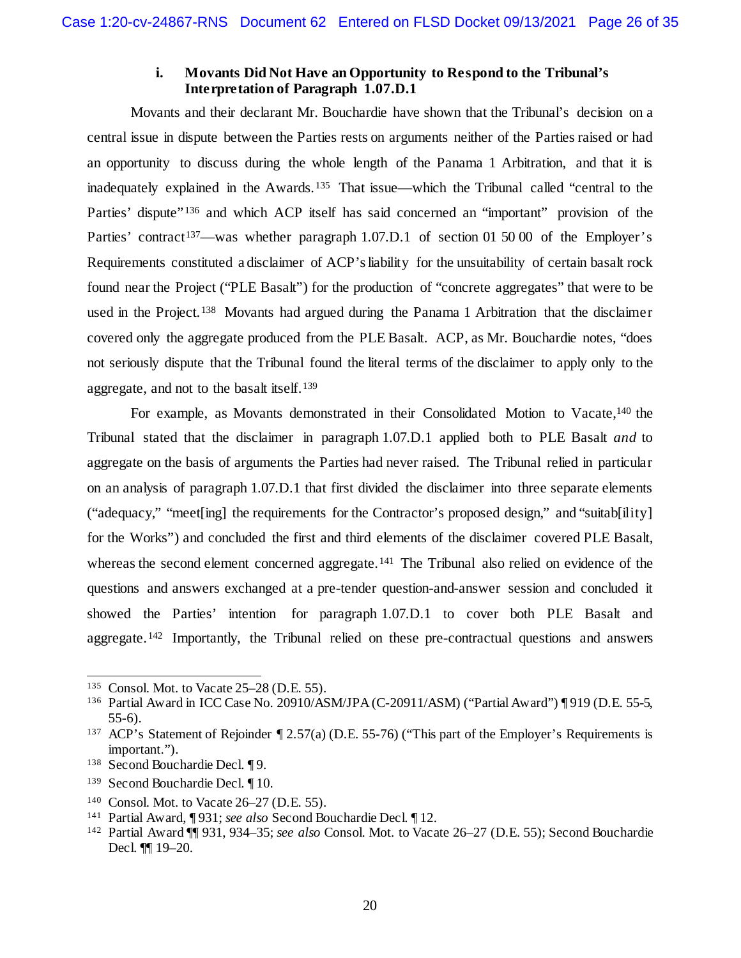#### **i. Movants Did Not Have an Opportunity to Respond to the Tribunal's Interpretation of Paragraph 1.07.D.1**

Movants and their declarant Mr. Bouchardie have shown that the Tribunal's decision on a central issue in dispute between the Parties rests on arguments neither of the Parties raised or had an opportunity to discuss during the whole length of the Panama 1 Arbitration, and that it is inadequately explained in the Awards.[135](#page-25-0) That issue—which the Tribunal called "central to the Parties' dispute"<sup>[136](#page-25-1)</sup> and which ACP itself has said concerned an "important" provision of the Parties' contract<sup>137</sup>—was whether paragraph 1.07.D.1 of section 01 50 00 of the Employer's Requirements constituted a disclaimer of ACP's liability for the unsuitability of certain basalt rock found near the Project ("PLE Basalt") for the production of "concrete aggregates" that were to be used in the Project.<sup>[138](#page-25-3)</sup> Movants had argued during the Panama 1 Arbitration that the disclaimer covered only the aggregate produced from the PLE Basalt. ACP, as Mr. Bouchardie notes, "does not seriously dispute that the Tribunal found the literal terms of the disclaimer to apply only to the aggregate, and not to the basalt itself.[139](#page-25-4)

For example, as Movants demonstrated in their Consolidated Motion to Vacate,<sup>[140](#page-25-5)</sup> the Tribunal stated that the disclaimer in paragraph 1.07.D.1 applied both to PLE Basalt *and* to aggregate on the basis of arguments the Parties had never raised. The Tribunal relied in particular on an analysis of paragraph 1.07.D.1 that first divided the disclaimer into three separate elements ("adequacy," "meet[ing] the requirements for the Contractor's proposed design," and "suitab[ility] for the Works") and concluded the first and third elements of the disclaimer covered PLE Basalt, whereas the second element concerned aggregate.<sup>141</sup> The Tribunal also relied on evidence of the questions and answers exchanged at a pre-tender question-and-answer session and concluded it showed the Parties' intention for paragraph 1.07.D.1 to cover both PLE Basalt and aggregate.<sup>[142](#page-25-7)</sup> Importantly, the Tribunal relied on these pre-contractual questions and answers

<span id="page-25-0"></span> <sup>135</sup> Consol. Mot. to Vacate 25–28 (D.E. 55).

<span id="page-25-1"></span><sup>136</sup> Partial Award in ICC Case No. 20910/ASM/JPA (C-20911/ASM) ("Partial Award") ¶ 919 (D.E. 55-5, 55-6).

<span id="page-25-2"></span><sup>&</sup>lt;sup>137</sup> ACP's Statement of Rejoinder ¶ 2.57(a) (D.E. 55-76) ("This part of the Employer's Requirements is important.").

<span id="page-25-3"></span><sup>138</sup> Second Bouchardie Decl. ¶ 9.

<span id="page-25-4"></span><sup>139</sup> Second Bouchardie Decl. ¶ 10.

<span id="page-25-5"></span><sup>140</sup> Consol. Mot. to Vacate 26–27 (D.E. 55).

<span id="page-25-6"></span><sup>141</sup> Partial Award, ¶ 931; *see also* Second Bouchardie Decl. ¶ 12.

<span id="page-25-7"></span><sup>142</sup> Partial Award ¶¶ 931, 934–35; *see also* Consol. Mot. to Vacate 26–27 (D.E. 55); Second Bouchardie Decl. ¶¶ 19–20.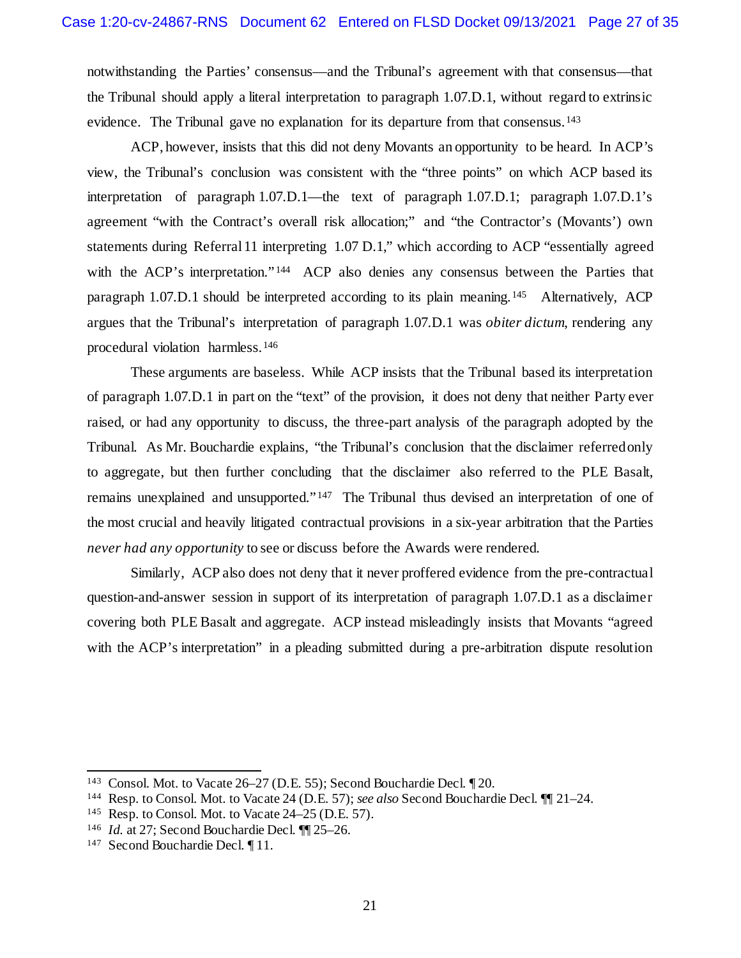notwithstanding the Parties' consensus—and the Tribunal's agreement with that consensus—that the Tribunal should apply a literal interpretation to paragraph 1.07.D.1, without regard to extrinsic evidence. The Tribunal gave no explanation for its departure from that consensus.<sup>[143](#page-26-0)</sup>

ACP, however, insists that this did not deny Movants an opportunity to be heard. In ACP's view, the Tribunal's conclusion was consistent with the "three points" on which ACP based its interpretation of paragraph 1.07.D.1—the text of paragraph 1.07.D.1; paragraph 1.07.D.1's agreement "with the Contract's overall risk allocation;" and "the Contractor's (Movants') own statements during Referral 11 interpreting 1.07 D.1," which according to ACP "essentially agreed with the ACP's interpretation."<sup>[144](#page-26-1)</sup> ACP also denies any consensus between the Parties that paragraph 1.07.D.1 should be interpreted according to its plain meaning.[145](#page-26-2) Alternatively, ACP argues that the Tribunal's interpretation of paragraph 1.07.D.1 was *obiter dictum*, rendering any procedural violation harmless.[146](#page-26-3)

These arguments are baseless. While ACP insists that the Tribunal based its interpretation of paragraph 1.07.D.1 in part on the "text" of the provision, it does not deny that neither Party ever raised, or had any opportunity to discuss, the three-part analysis of the paragraph adopted by the Tribunal. As Mr. Bouchardie explains, "the Tribunal's conclusion that the disclaimer referred only to aggregate, but then further concluding that the disclaimer also referred to the PLE Basalt, remains unexplained and unsupported." [147](#page-26-4) The Tribunal thus devised an interpretation of one of the most crucial and heavily litigated contractual provisions in a six-year arbitration that the Parties *never had any opportunity* to see or discuss before the Awards were rendered.

Similarly, ACP also does not deny that it never proffered evidence from the pre-contractual question-and-answer session in support of its interpretation of paragraph 1.07.D.1 as a disclaimer covering both PLE Basalt and aggregate. ACP instead misleadingly insists that Movants "agreed with the ACP's interpretation" in a pleading submitted during a pre-arbitration dispute resolution

<span id="page-26-0"></span> <sup>143</sup> Consol. Mot. to Vacate 26–27 (D.E. 55); Second Bouchardie Decl. ¶ 20.

<span id="page-26-1"></span><sup>144</sup> Resp. to Consol. Mot. to Vacate 24 (D.E. 57); *see also* Second Bouchardie Decl. ¶¶ 21–24.

<span id="page-26-2"></span> $145$  Resp. to Consol. Mot. to Vacate 24–25 (D.E. 57).

<span id="page-26-3"></span><sup>146</sup> *Id.* at 27; Second Bouchardie Decl. ¶¶ 25–26.

<span id="page-26-4"></span><sup>147</sup> Second Bouchardie Decl. ¶ 11.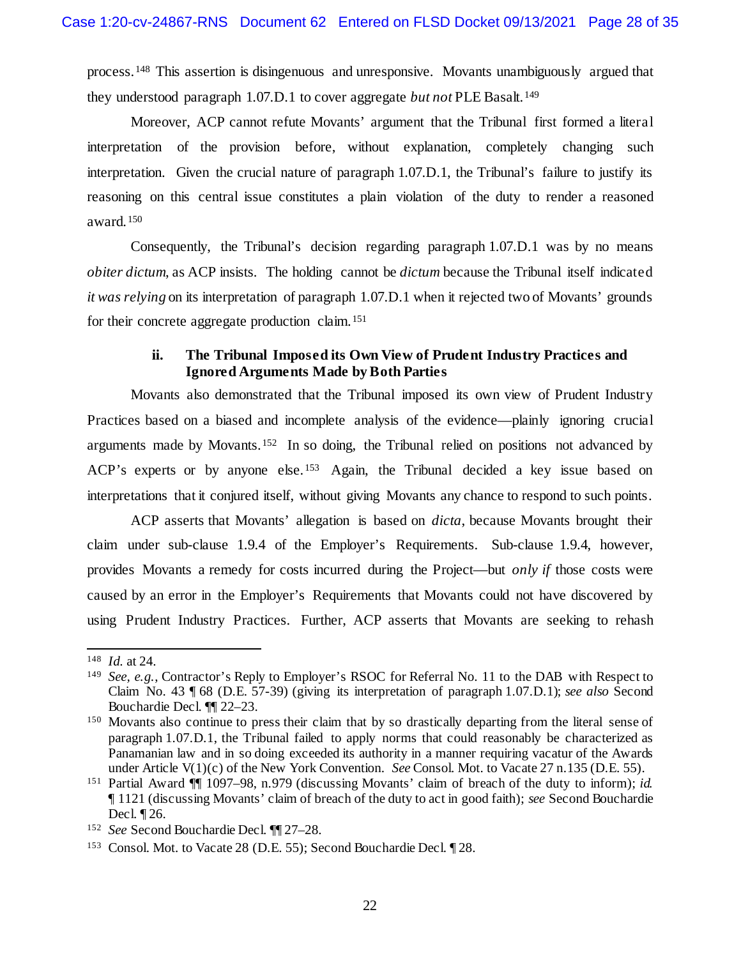process.[148](#page-27-0) This assertion is disingenuous and unresponsive. Movants unambiguously argued that they understood paragraph 1.07.D.1 to cover aggregate *but not* PLE Basalt.[149](#page-27-1)

Moreover, ACP cannot refute Movants' argument that the Tribunal first formed a literal interpretation of the provision before, without explanation, completely changing such interpretation. Given the crucial nature of paragraph 1.07.D.1, the Tribunal's failure to justify its reasoning on this central issue constitutes a plain violation of the duty to render a reasoned award.[150](#page-27-2)

Consequently, the Tribunal's decision regarding paragraph 1.07.D.1 was by no means *obiter dictum*, as ACP insists. The holding cannot be *dictum* because the Tribunal itself indicated *it was relying* on its interpretation of paragraph 1.07.D.1 when it rejected two of Movants' grounds for their concrete aggregate production claim.[151](#page-27-3)

#### **ii. The Tribunal Imposed its Own View of Prudent Industry Practices and Ignored Arguments Made by Both Parties**

Movants also demonstrated that the Tribunal imposed its own view of Prudent Industry Practices based on a biased and incomplete analysis of the evidence—plainly ignoring crucial arguments made by Movants.[152](#page-27-4) In so doing, the Tribunal relied on positions not advanced by ACP's experts or by anyone else.<sup>[153](#page-27-5)</sup> Again, the Tribunal decided a key issue based on interpretations that it conjured itself, without giving Movants any chance to respond to such points.

ACP asserts that Movants' allegation is based on *dicta*, because Movants brought their claim under sub-clause 1.9.4 of the Employer's Requirements. Sub-clause 1.9.4, however, provides Movants a remedy for costs incurred during the Project—but *only if* those costs were caused by an error in the Employer's Requirements that Movants could not have discovered by using Prudent Industry Practices. Further, ACP asserts that Movants are seeking to rehash

<span id="page-27-0"></span> <sup>148</sup> *Id.* at 24.

<span id="page-27-1"></span><sup>149</sup> *See, e.g.*, Contractor's Reply to Employer's RSOC for Referral No. 11 to the DAB with Respect to Claim No. 43 ¶ 68 (D.E. 57-39) (giving its interpretation of paragraph 1.07.D.1); *see also* Second Bouchardie Decl. ¶¶ 22–23.

<span id="page-27-2"></span><sup>150</sup> Movants also continue to press their claim that by so drastically departing from the literal sense of paragraph 1.07.D.1, the Tribunal failed to apply norms that could reasonably be characterized as Panamanian law and in so doing exceeded its authority in a manner requiring vacatur of the Awards under Article V(1)(c) of the New York Convention. *See* Consol. Mot. to Vacate 27 n.135 (D.E. 55).

<span id="page-27-3"></span><sup>151</sup> Partial Award ¶¶ 1097–98, n.979 (discussing Movants' claim of breach of the duty to inform); *id.* ¶ 1121 (discussing Movants' claim of breach of the duty to act in good faith); *see* Second Bouchardie Decl. ¶ 26.

<span id="page-27-4"></span><sup>152</sup> *See* Second Bouchardie Decl. ¶¶ 27–28.

<span id="page-27-5"></span><sup>153</sup> Consol. Mot. to Vacate 28 (D.E. 55); Second Bouchardie Decl. ¶ 28.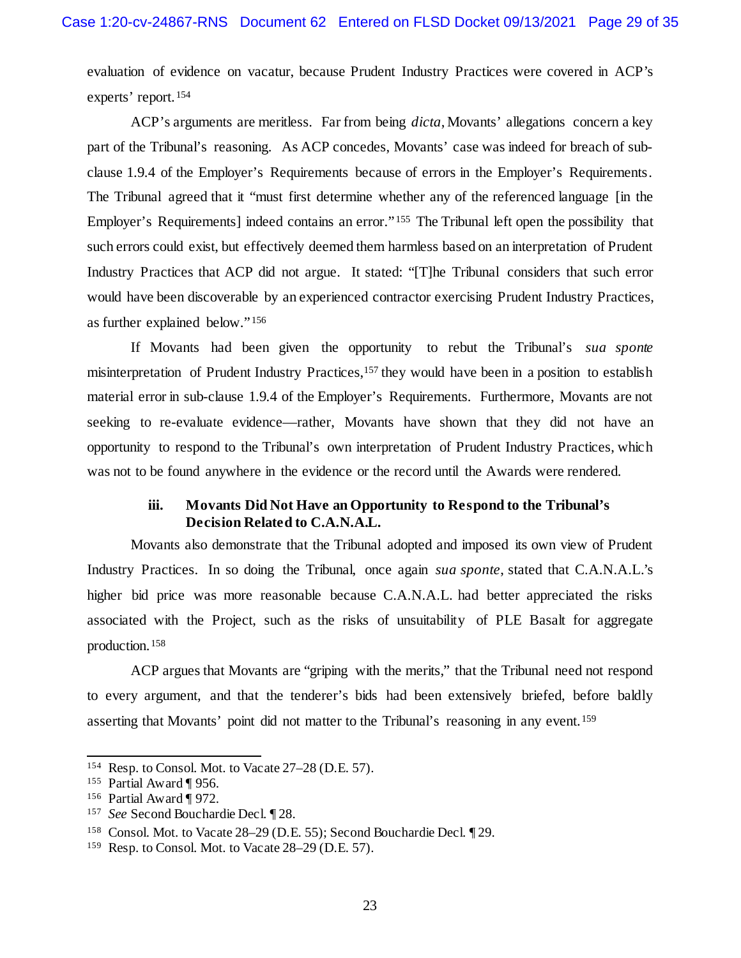evaluation of evidence on vacatur, because Prudent Industry Practices were covered in ACP's experts' report.[154](#page-28-0)

ACP's arguments are meritless. Far from being *dicta*, Movants' allegations concern a key part of the Tribunal's reasoning. As ACP concedes, Movants' case was indeed for breach of subclause 1.9.4 of the Employer's Requirements because of errors in the Employer's Requirements. The Tribunal agreed that it "must first determine whether any of the referenced language [in the Employer's Requirements] indeed contains an error."<sup>[155](#page-28-1)</sup> The Tribunal left open the possibility that such errors could exist, but effectively deemed them harmless based on an interpretation of Prudent Industry Practices that ACP did not argue. It stated: "[T]he Tribunal considers that such error would have been discoverable by an experienced contractor exercising Prudent Industry Practices, as further explained below." [156](#page-28-2)

If Movants had been given the opportunity to rebut the Tribunal's *sua sponte* misinterpretation of Prudent Industry Practices,<sup>[157](#page-28-3)</sup> they would have been in a position to establish material error in sub-clause 1.9.4 of the Employer's Requirements. Furthermore, Movants are not seeking to re-evaluate evidence—rather, Movants have shown that they did not have an opportunity to respond to the Tribunal's own interpretation of Prudent Industry Practices, which was not to be found anywhere in the evidence or the record until the Awards were rendered.

## **iii. Movants Did Not Have an Opportunity to Respond to the Tribunal's Decision Related to C.A.N.A.L.**

Movants also demonstrate that the Tribunal adopted and imposed its own view of Prudent Industry Practices. In so doing the Tribunal, once again *sua sponte*, stated that C.A.N.A.L.'s higher bid price was more reasonable because C.A.N.A.L. had better appreciated the risks associated with the Project, such as the risks of unsuitability of PLE Basalt for aggregate production.[158](#page-28-4)

ACP argues that Movants are "griping with the merits," that the Tribunal need not respond to every argument, and that the tenderer's bids had been extensively briefed, before baldly asserting that Movants' point did not matter to the Tribunal's reasoning in any event.[159](#page-28-5)

<span id="page-28-0"></span> <sup>154</sup> Resp. to Consol. Mot. to Vacate 27–28 (D.E. 57).

<span id="page-28-1"></span><sup>155</sup> Partial Award ¶ 956.

<span id="page-28-2"></span><sup>156</sup> Partial Award ¶ 972.

<span id="page-28-3"></span><sup>157</sup> *See* Second Bouchardie Decl. ¶ 28.

<span id="page-28-4"></span><sup>158</sup> Consol. Mot. to Vacate 28–29 (D.E. 55); Second Bouchardie Decl. ¶ 29.

<span id="page-28-5"></span><sup>159</sup> Resp. to Consol. Mot. to Vacate 28–29 (D.E. 57).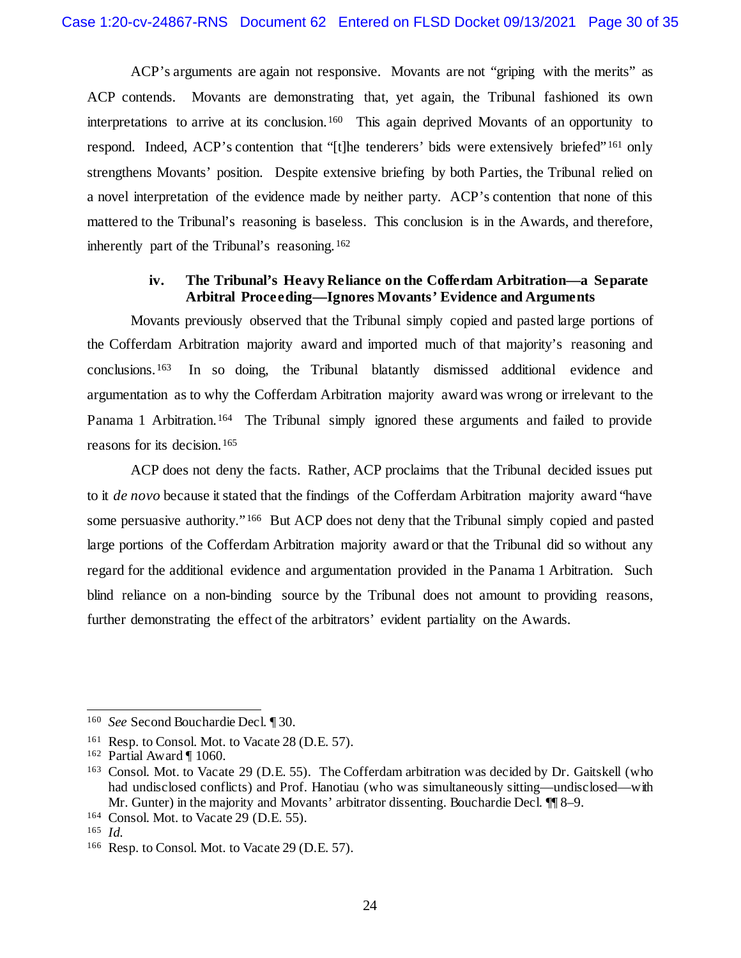ACP's arguments are again not responsive. Movants are not "griping with the merits" as ACP contends. Movants are demonstrating that, yet again, the Tribunal fashioned its own interpretations to arrive at its conclusion.<sup>[160](#page-29-0)</sup> This again deprived Movants of an opportunity to respond. Indeed, ACP's contention that "[t]he tenderers' bids were extensively briefed" [161](#page-29-1) only strengthens Movants' position. Despite extensive briefing by both Parties, the Tribunal relied on a novel interpretation of the evidence made by neither party. ACP's contention that none of this mattered to the Tribunal's reasoning is baseless. This conclusion is in the Awards, and therefore, inherently part of the Tribunal's reasoning.[162](#page-29-2)

## **iv. The Tribunal's Heavy Reliance on the Cofferdam Arbitration—a Separate Arbitral Proceeding—Ignores Movants' Evidence and Arguments**

Movants previously observed that the Tribunal simply copied and pasted large portions of the Cofferdam Arbitration majority award and imported much of that majority's reasoning and conclusions. [163](#page-29-3) In so doing, the Tribunal blatantly dismissed additional evidence and argumentation as to why the Cofferdam Arbitration majority award was wrong or irrelevant to the Panama 1 Arbitration.<sup>[164](#page-29-4)</sup> The Tribunal simply ignored these arguments and failed to provide reasons for its decision.[165](#page-29-5)

ACP does not deny the facts. Rather, ACP proclaims that the Tribunal decided issues put to it *de novo* because it stated that the findings of the Cofferdam Arbitration majority award "have some persuasive authority."<sup>[166](#page-29-6)</sup> But ACP does not deny that the Tribunal simply copied and pasted large portions of the Cofferdam Arbitration majority award or that the Tribunal did so without any regard for the additional evidence and argumentation provided in the Panama 1 Arbitration. Such blind reliance on a non-binding source by the Tribunal does not amount to providing reasons, further demonstrating the effect of the arbitrators' evident partiality on the Awards.

<span id="page-29-0"></span> <sup>160</sup> *See* Second Bouchardie Decl. ¶ 30.

<span id="page-29-1"></span><sup>&</sup>lt;sup>161</sup> Resp. to Consol. Mot. to Vacate 28 (D.E. 57).

<span id="page-29-2"></span><sup>162</sup> Partial Award ¶ 1060.

<span id="page-29-3"></span><sup>163</sup> Consol. Mot. to Vacate 29 (D.E. 55). The Cofferdam arbitration was decided by Dr. Gaitskell (who had undisclosed conflicts) and Prof. Hanotiau (who was simultaneously sitting—undisclosed—with Mr. Gunter) in the majority and Movants' arbitrator dissenting. Bouchardie Decl. ¶¶ 8–9.

<span id="page-29-4"></span><sup>164</sup> Consol. Mot. to Vacate 29 (D.E. 55).

<span id="page-29-5"></span><sup>165</sup> *Id.*

<span id="page-29-6"></span><sup>166</sup> Resp. to Consol. Mot. to Vacate 29 (D.E. 57).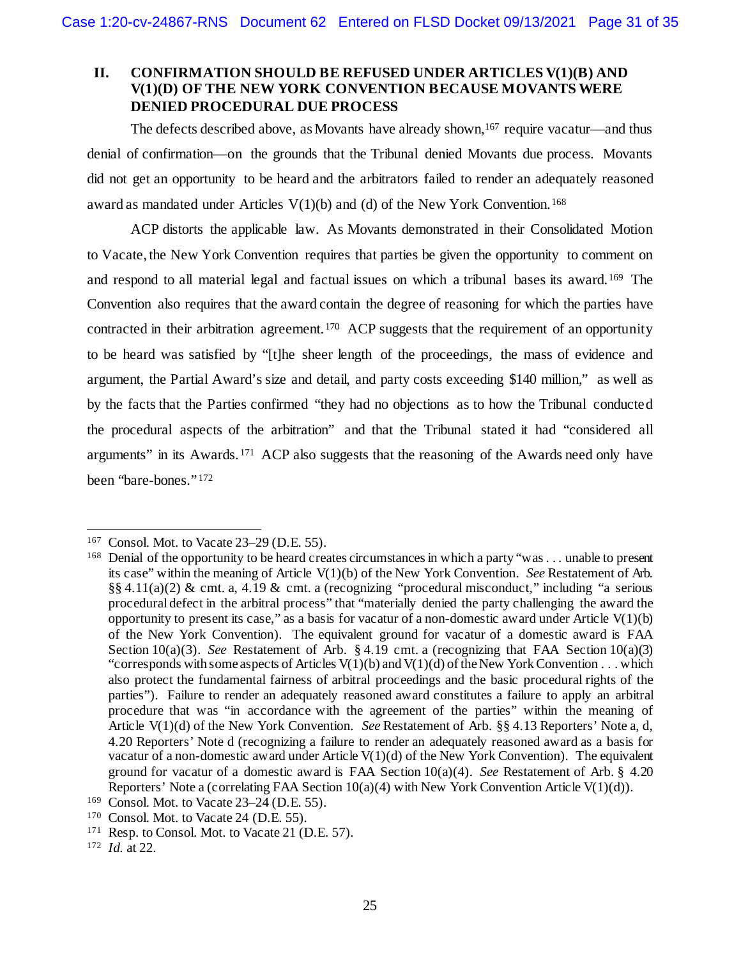## <span id="page-30-0"></span>**II. CONFIRMATION SHOULD BE REFUSED UNDER ARTICLES V(1)(B) AND V(1)(D) OF THE NEW YORK CONVENTION BECAUSE MOVANTS WERE DENIED PROCEDURAL DUE PROCESS**

The defects described above, as Movants have already shown,<sup>[167](#page-30-1)</sup> require vacatur—and thus denial of confirmation—on the grounds that the Tribunal denied Movants due process. Movants did not get an opportunity to be heard and the arbitrators failed to render an adequately reasoned award as mandated under Articles  $V(1)(b)$  and (d) of the New York Convention.<sup>[168](#page-30-2)</sup>

ACP distorts the applicable law. As Movants demonstrated in their Consolidated Motion to Vacate, the New York Convention requires that parties be given the opportunity to comment on and respond to all material legal and factual issues on which a tribunal bases its award.[169](#page-30-3) The Convention also requires that the award contain the degree of reasoning for which the parties have contracted in their arbitration agreement.<sup>[170](#page-30-4)</sup> ACP suggests that the requirement of an opportunity to be heard was satisfied by "[t]he sheer length of the proceedings, the mass of evidence and argument, the Partial Award's size and detail, and party costs exceeding \$140 million," as well as by the facts that the Parties confirmed "they had no objections as to how the Tribunal conducted the procedural aspects of the arbitration" and that the Tribunal stated it had "considered all arguments" in its Awards.[171](#page-30-5) ACP also suggests that the reasoning of the Awards need only have been "bare-bones." [172](#page-30-6)

<span id="page-30-1"></span> <sup>167</sup> Consol. Mot. to Vacate 23–29 (D.E. 55).

<span id="page-30-2"></span><sup>168</sup> Denial of the opportunity to be heard creates circumstances in which a party "was . . . unable to present its case" within the meaning of Article V(1)(b) of the New York Convention. *See* Restatement of Arb. §§ 4.11(a)(2) & cmt. a, 4.19 & cmt. a (recognizing "procedural misconduct," including "a serious procedural defect in the arbitral process" that "materially denied the party challenging the award the opportunity to present its case," as a basis for vacatur of a non-domestic award under Article  $V(1)(b)$ of the New York Convention). The equivalent ground for vacatur of a domestic award is FAA Section 10(a)(3). *See* Restatement of Arb. § 4.19 cmt. a (recognizing that FAA Section 10(a)(3) "corresponds with some aspects of Articles  $V(1)(b)$  and  $V(1)(d)$  of the New York Convention . . . which also protect the fundamental fairness of arbitral proceedings and the basic procedural rights of the parties"). Failure to render an adequately reasoned award constitutes a failure to apply an arbitral procedure that was "in accordance with the agreement of the parties" within the meaning of Article V(1)(d) of the New York Convention. *See* Restatement of Arb. §§ 4.13 Reporters' Note a, d, 4.20 Reporters' Note d (recognizing a failure to render an adequately reasoned award as a basis for vacatur of a non-domestic award under Article  $V(1)(d)$  of the New York Convention). The equivalent ground for vacatur of a domestic award is FAA Section 10(a)(4). *See* Restatement of Arb. § 4.20 Reporters' Note a (correlating FAA Section  $10(a)(4)$  with New York Convention Article V(1)(d)).

<span id="page-30-3"></span><sup>&</sup>lt;sup>169</sup> Consol. Mot. to Vacate  $23-24$  (D.E. 55).

<span id="page-30-4"></span><sup>170</sup> Consol. Mot. to Vacate 24 (D.E. 55).

<span id="page-30-5"></span><sup>171</sup> Resp. to Consol. Mot. to Vacate 21 (D.E. 57).

<span id="page-30-6"></span><sup>172</sup> *Id.* at 22.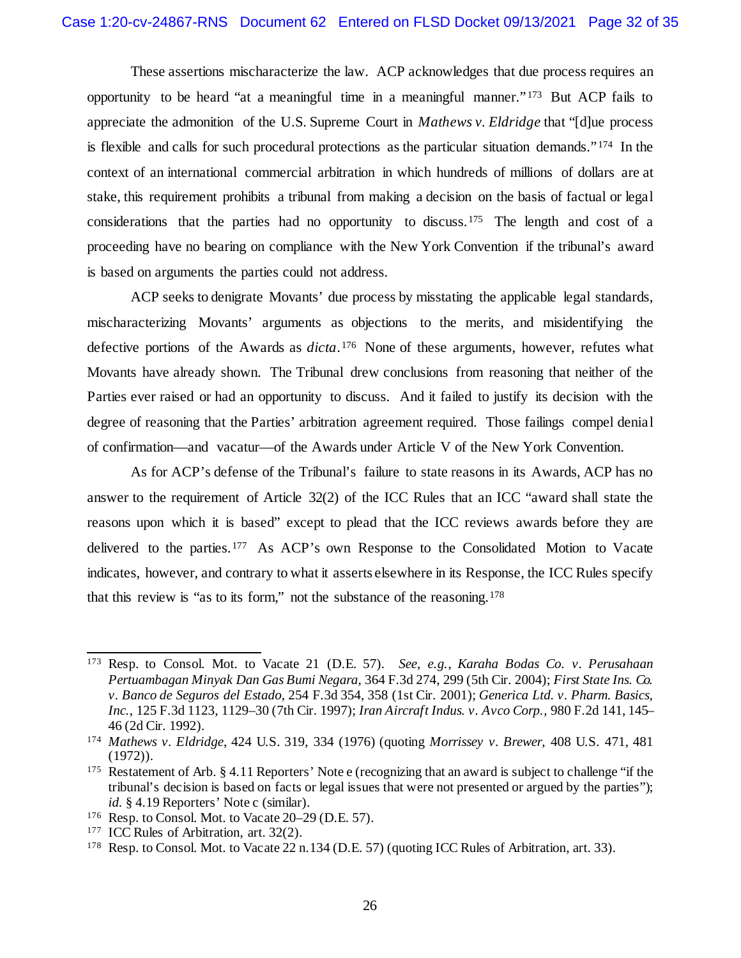These assertions mischaracterize the law. ACP acknowledges that due process requires an opportunity to be heard "at a meaningful time in a meaningful manner." [173](#page-31-0) But ACP fails to appreciate the admonition of the U.S. Supreme Court in *Mathews v. Eldridge* that "[d]ue process is flexible and calls for such procedural protections as the particular situation demands."  $174$  In the context of an international commercial arbitration in which hundreds of millions of dollars are at stake, this requirement prohibits a tribunal from making a decision on the basis of factual or legal considerations that the parties had no opportunity to discuss.[175](#page-31-2) The length and cost of a proceeding have no bearing on compliance with the New York Convention if the tribunal's award is based on arguments the parties could not address.

ACP seeks to denigrate Movants' due process by misstating the applicable legal standards, mischaracterizing Movants' arguments as objections to the merits, and misidentifying the defective portions of the Awards as *dicta*.[176](#page-31-3) None of these arguments, however, refutes what Movants have already shown. The Tribunal drew conclusions from reasoning that neither of the Parties ever raised or had an opportunity to discuss. And it failed to justify its decision with the degree of reasoning that the Parties' arbitration agreement required. Those failings compel denial of confirmation—and vacatur—of the Awards under Article V of the New York Convention.

As for ACP's defense of the Tribunal's failure to state reasons in its Awards, ACP has no answer to the requirement of Article 32(2) of the ICC Rules that an ICC "award shall state the reasons upon which it is based" except to plead that the ICC reviews awards before they are delivered to the parties.[177](#page-31-4) As ACP's own Response to the Consolidated Motion to Vacate indicates, however, and contrary to what it asserts elsewhere in its Response, the ICC Rules specify that this review is "as to its form," not the substance of the reasoning.[178](#page-31-5)

<span id="page-31-0"></span> <sup>173</sup> Resp. to Consol. Mot. to Vacate 21 (D.E. 57). *See, e.g.*, *Karaha Bodas Co. v. Perusahaan Pertuambagan Minyak Dan Gas Bumi Negara*, 364 F.3d 274, 299 (5th Cir. 2004); *First State Ins. Co. v. Banco de Seguros del Estado*, 254 F.3d 354, 358 (1st Cir. 2001); *Generica Ltd. v. Pharm. Basics, Inc.*, 125 F.3d 1123, 1129–30 (7th Cir. 1997); *Iran Aircraft Indus. v. Avco Corp.*, 980 F.2d 141, 145– 46 (2d Cir. 1992).

<span id="page-31-1"></span><sup>174</sup> *Mathews v. Eldridge*, 424 U.S. 319, 334 (1976) (quoting *Morrissey v. Brewer*, 408 U.S. 471, 481 (1972)).

<span id="page-31-2"></span><sup>&</sup>lt;sup>175</sup> Restatement of Arb. § 4.11 Reporters' Note e (recognizing that an award is subject to challenge "if the tribunal's decision is based on facts or legal issues that were not presented or argued by the parties"); *id.* § 4.19 Reporters' Note c (similar).

<span id="page-31-3"></span><sup>176</sup> Resp. to Consol. Mot. to Vacate 20–29 (D.E. 57).

<span id="page-31-4"></span><sup>&</sup>lt;sup>177</sup> ICC Rules of Arbitration, art. 32(2).

<span id="page-31-5"></span><sup>178</sup> Resp. to Consol. Mot. to Vacate 22 n.134 (D.E. 57) (quoting ICC Rules of Arbitration, art. 33).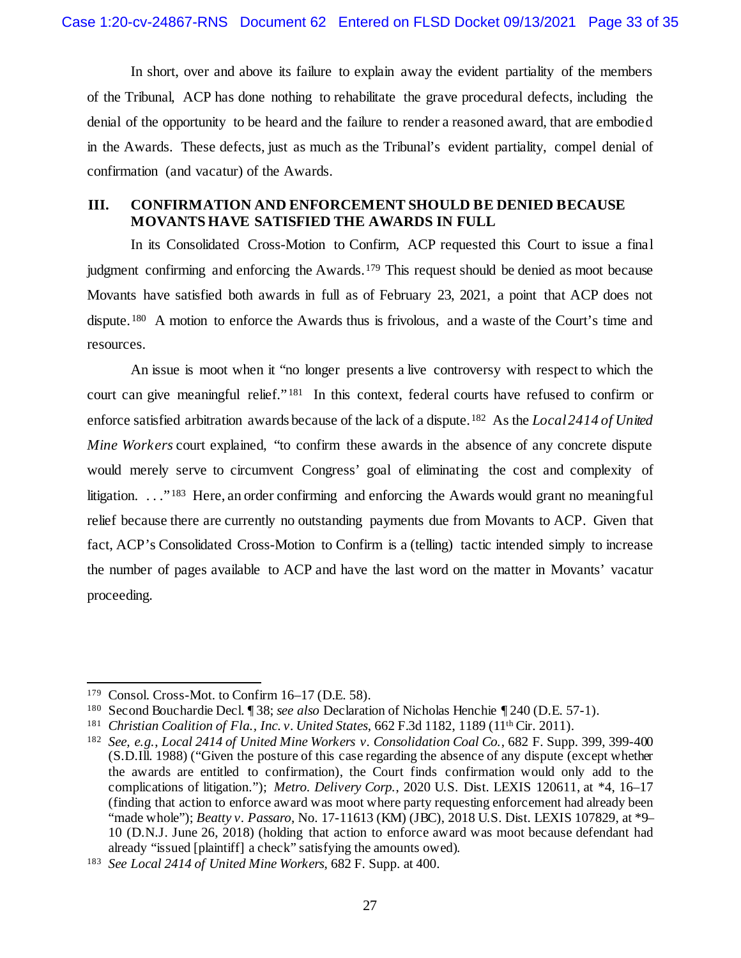In short, over and above its failure to explain away the evident partiality of the members of the Tribunal, ACP has done nothing to rehabilitate the grave procedural defects, including the denial of the opportunity to be heard and the failure to render a reasoned award, that are embodied in the Awards. These defects, just as much as the Tribunal's evident partiality, compel denial of confirmation (and vacatur) of the Awards.

## <span id="page-32-0"></span>**III. CONFIRMATION AND ENFORCEMENT SHOULD BE DENIED BECAUSE MOVANTS HAVE SATISFIED THE AWARDS IN FULL**

In its Consolidated Cross-Motion to Confirm, ACP requested this Court to issue a final judgment confirming and enforcing the Awards.<sup>[179](#page-32-1)</sup> This request should be denied as moot because Movants have satisfied both awards in full as of February 23, 2021, a point that ACP does not dispute. <sup>180</sup> A motion to enforce the Awards thus is frivolous, and a waste of the Court's time and resources.

An issue is moot when it "no longer presents a live controversy with respect to which the court can give meaningful relief."<sup>[181](#page-32-3)</sup> In this context, federal courts have refused to confirm or enforce satisfied arbitration awards because of the lack of a dispute.[182](#page-32-4) As the *Local 2414 of United Mine Workers* court explained, "to confirm these awards in the absence of any concrete dispute would merely serve to circumvent Congress' goal of eliminating the cost and complexity of litigation. . . . <sup>"183</sup> Here, an order confirming and enforcing the Awards would grant no meaningful relief because there are currently no outstanding payments due from Movants to ACP. Given that fact, ACP's Consolidated Cross-Motion to Confirm is a (telling) tactic intended simply to increase the number of pages available to ACP and have the last word on the matter in Movants' vacatur proceeding.

<span id="page-32-1"></span> <sup>179</sup> Consol. Cross-Mot. to Confirm 16–17 (D.E. 58).

<span id="page-32-2"></span><sup>180</sup> Second Bouchardie Decl. ¶ 38; *see also* Declaration of Nicholas Henchie ¶ 240 (D.E. 57-1).

<span id="page-32-3"></span><sup>181</sup> *Christian Coalition of Fla., Inc. v. United States*, 662 F.3d 1182, 1189 (11th Cir. 2011).

<span id="page-32-4"></span><sup>182</sup> *See, e.g.*, *Local 2414 of United Mine Workers v. Consolidation Coal Co.*, 682 F. Supp. 399, 399-400 (S.D.Ill. 1988) ("Given the posture of this case regarding the absence of any dispute (except whether the awards are entitled to confirmation), the Court finds confirmation would only add to the complications of litigation."); *Metro. Delivery Corp.*, 2020 U.S. Dist. LEXIS 120611, at \*4, 16–17 (finding that action to enforce award was moot where party requesting enforcement had already been "made whole"); *Beatty v. Passaro*, No. 17-11613 (KM) (JBC), 2018 U.S. Dist. LEXIS 107829, at \*9– 10 (D.N.J. June 26, 2018) (holding that action to enforce award was moot because defendant had already "issued [plaintiff] a check" satisfying the amounts owed).

<span id="page-32-5"></span><sup>183</sup> *See Local 2414 of United Mine Workers*, 682 F. Supp. at 400.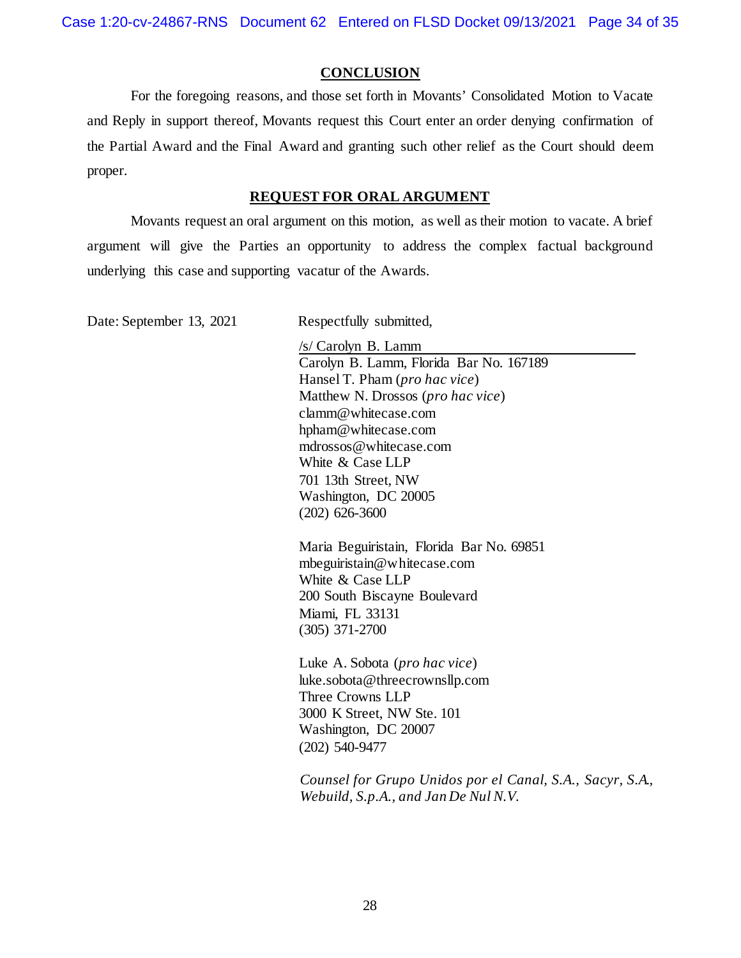Case 1:20-cv-24867-RNS Document 62 Entered on FLSD Docket 09/13/2021 Page 34 of 35

#### **CONCLUSION**

<span id="page-33-0"></span>For the foregoing reasons, and those set forth in Movants' Consolidated Motion to Vacate and Reply in support thereof, Movants request this Court enter an order denying confirmation of the Partial Award and the Final Award and granting such other relief as the Court should deem proper.

#### **REQUEST FOR ORAL ARGUMENT**

Movants request an oral argument on this motion, as well as their motion to vacate. A brief argument will give the Parties an opportunity to address the complex factual background underlying this case and supporting vacatur of the Awards.

Date: September 13, 2021 Respectfully submitted,

/s/ Carolyn B. Lamm Carolyn B. Lamm, Florida Bar No. 167189 Hansel T. Pham (*pro hac vice*) Matthew N. Drossos (*pro hac vice*) clamm@whitecase.com hpham@whitecase.com mdrossos@whitecase.com White & Case LLP 701 13th Street, NW Washington, DC 20005 (202) 626-3600

Maria Beguiristain, Florida Bar No. 69851 mbeguiristain@whitecase.com White & Case LLP 200 South Biscayne Boulevard Miami, FL 33131 (305) 371-2700

Luke A. Sobota (*pro hac vice*) luke.sobota@threecrownsllp.com Three Crowns LLP 3000 K Street, NW Ste. 101 Washington, DC 20007 (202) 540-9477

*Counsel for Grupo Unidos por el Canal, S.A., Sacyr, S.A., Webuild, S.p.A., and Jan De Nul N.V.*